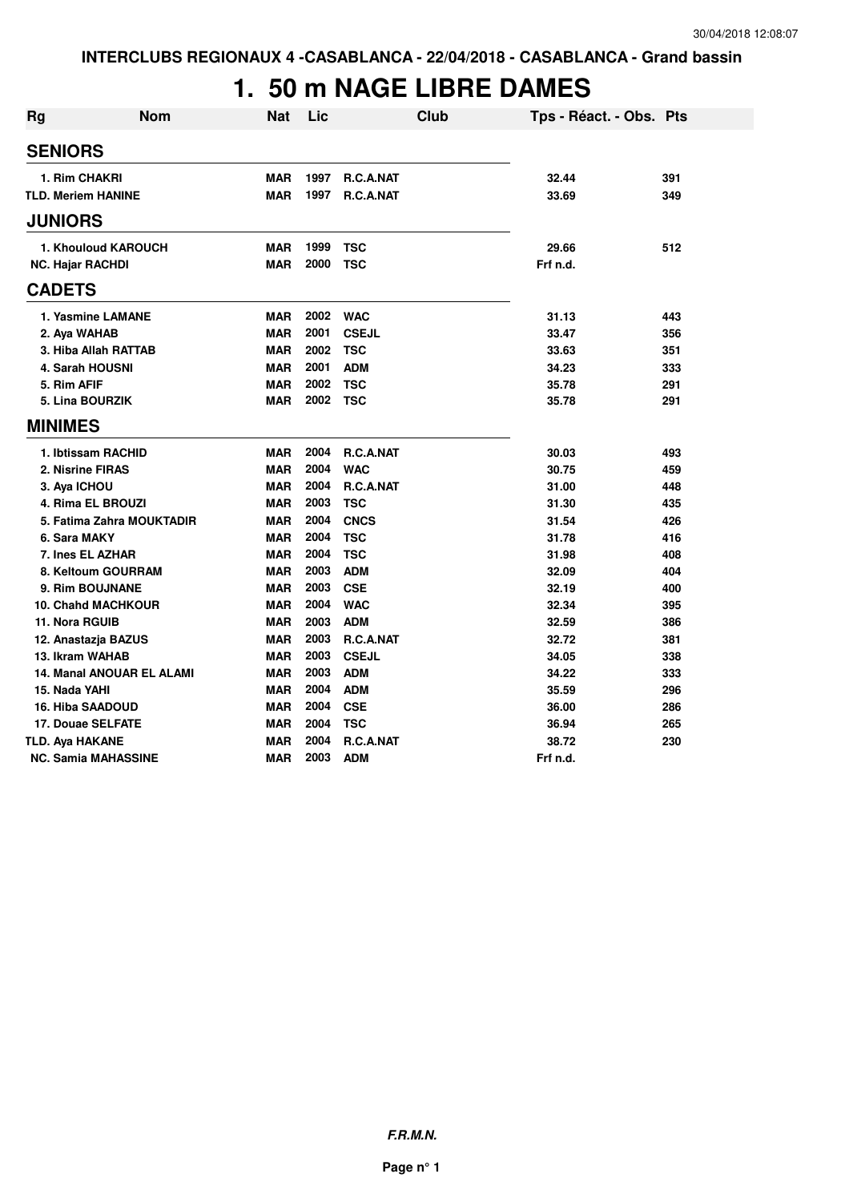# **1. 50 m NAGE LIBRE DAMES**

| <b>Rg</b>                 | <b>Nom</b>                       | <b>Nat</b> | Lic      | <b>Club</b>  | Tps - Réact. - Obs. Pts |     |
|---------------------------|----------------------------------|------------|----------|--------------|-------------------------|-----|
| <b>SENIORS</b>            |                                  |            |          |              |                         |     |
| 1. Rim CHAKRI             |                                  | <b>MAR</b> | 1997     | R.C.A.NAT    | 32.44                   | 391 |
| <b>TLD. Meriem HANINE</b> |                                  | <b>MAR</b> | 1997     | R.C.A.NAT    | 33.69                   | 349 |
| <b>JUNIORS</b>            |                                  |            |          |              |                         |     |
|                           | 1. Khouloud KAROUCH              | <b>MAR</b> | 1999     | <b>TSC</b>   | 29.66                   | 512 |
| <b>NC. Hajar RACHDI</b>   |                                  | <b>MAR</b> | 2000     | <b>TSC</b>   | Frf n.d.                |     |
| <b>CADETS</b>             |                                  |            |          |              |                         |     |
|                           | 1. Yasmine LAMANE                | <b>MAR</b> | 2002     | <b>WAC</b>   | 31.13                   | 443 |
| 2. Aya WAHAB              |                                  | <b>MAR</b> | 2001     | <b>CSEJL</b> | 33.47                   | 356 |
|                           | 3. Hiba Allah RATTAB             | <b>MAR</b> | 2002     | <b>TSC</b>   | 33.63                   | 351 |
|                           | 4. Sarah HOUSNI                  | <b>MAR</b> | 2001     | <b>ADM</b>   | 34.23                   | 333 |
| 5. Rim AFIF               |                                  | <b>MAR</b> | 2002     | <b>TSC</b>   | 35.78                   | 291 |
|                           | 5. Lina BOURZIK                  | <b>MAR</b> | 2002 TSC |              | 35.78                   | 291 |
| <b>MINIMES</b>            |                                  |            |          |              |                         |     |
|                           | 1. Ibtissam RACHID               | <b>MAR</b> | 2004     | R.C.A.NAT    | 30.03                   | 493 |
|                           | 2. Nisrine FIRAS                 | <b>MAR</b> | 2004     | <b>WAC</b>   | 30.75                   | 459 |
| 3. Aya ICHOU              |                                  | <b>MAR</b> | 2004     | R.C.A.NAT    | 31.00                   | 448 |
|                           | 4. Rima EL BROUZI                | <b>MAR</b> | 2003     | <b>TSC</b>   | 31.30                   | 435 |
|                           | 5. Fatima Zahra MOUKTADIR        | <b>MAR</b> | 2004     | <b>CNCS</b>  | 31.54                   | 426 |
| 6. Sara MAKY              |                                  | <b>MAR</b> | 2004     | <b>TSC</b>   | 31.78                   | 416 |
|                           | 7. Ines EL AZHAR                 | <b>MAR</b> | 2004     | <b>TSC</b>   | 31.98                   | 408 |
|                           | 8. Keltoum GOURRAM               | <b>MAR</b> | 2003     | <b>ADM</b>   | 32.09                   | 404 |
|                           | 9. Rim BOUJNANE                  | <b>MAR</b> | 2003     | <b>CSE</b>   | 32.19                   | 400 |
|                           | <b>10. Chahd MACHKOUR</b>        | <b>MAR</b> | 2004     | <b>WAC</b>   | 32.34                   | 395 |
| 11. Nora RGUIB            |                                  | <b>MAR</b> | 2003     | <b>ADM</b>   | 32.59                   | 386 |
|                           | 12. Anastazja BAZUS              | <b>MAR</b> | 2003     | R.C.A.NAT    | 32.72                   | 381 |
| 13. Ikram WAHAB           |                                  | <b>MAR</b> | 2003     | <b>CSEJL</b> | 34.05                   | 338 |
|                           | <b>14. Manal ANOUAR EL ALAMI</b> | <b>MAR</b> | 2003     | <b>ADM</b>   | 34.22                   | 333 |
| 15. Nada YAHI             |                                  | <b>MAR</b> | 2004     | <b>ADM</b>   | 35.59                   | 296 |
|                           | <b>16. Hiba SAADOUD</b>          | <b>MAR</b> | 2004     | <b>CSE</b>   | 36.00                   | 286 |
|                           | 17. Douae SELFATE                | <b>MAR</b> | 2004     | <b>TSC</b>   | 36.94                   | 265 |
| <b>TLD. Aya HAKANE</b>    |                                  | <b>MAR</b> | 2004     | R.C.A.NAT    | 38.72                   | 230 |
|                           | <b>NC. Samia MAHASSINE</b>       | <b>MAR</b> | 2003     | <b>ADM</b>   | Frf n.d.                |     |

**F.R.M.N.**

**Page n° 1**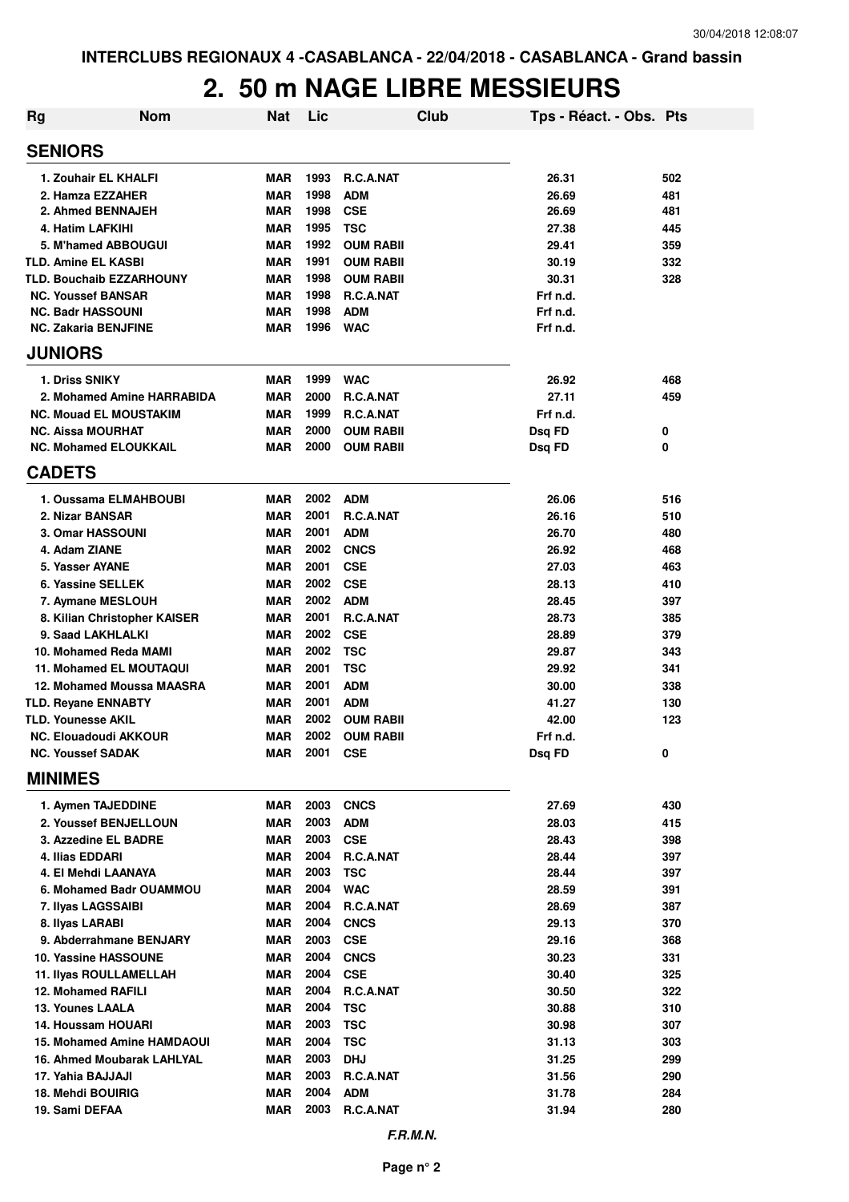### **2. 50 m NAGE LIBRE MESSIEURS**

| Rg | <b>Nom</b>                        | <b>Nat</b> | Lic      |                  | <b>Club</b> | Tps - Réact. - Obs. Pts |     |
|----|-----------------------------------|------------|----------|------------------|-------------|-------------------------|-----|
|    | <b>SENIORS</b>                    |            |          |                  |             |                         |     |
|    | 1. Zouhair EL KHALFI              | <b>MAR</b> | 1993     | <b>R.C.A.NAT</b> |             | 26.31                   | 502 |
|    | 2. Hamza EZZAHER                  | <b>MAR</b> | 1998     | <b>ADM</b>       |             | 26.69                   | 481 |
|    | 2. Ahmed BENNAJEH                 | <b>MAR</b> | 1998     | <b>CSE</b>       |             | 26.69                   | 481 |
|    | 4. Hatim LAFKIHI                  | <b>MAR</b> | 1995     | <b>TSC</b>       |             | 27.38                   | 445 |
|    | 5. M'hamed ABBOUGUI               | <b>MAR</b> | 1992     | <b>OUM RABII</b> |             | 29.41                   | 359 |
|    | <b>TLD. Amine EL KASBI</b>        | <b>MAR</b> | 1991     | <b>OUM RABII</b> |             | 30.19                   | 332 |
|    | <b>TLD. Bouchaib EZZARHOUNY</b>   | <b>MAR</b> | 1998     | <b>OUM RABII</b> |             | 30.31                   | 328 |
|    | <b>NC. Youssef BANSAR</b>         | <b>MAR</b> | 1998     | R.C.A.NAT        |             | Frf n.d.                |     |
|    | <b>NC. Badr HASSOUNI</b>          | <b>MAR</b> | 1998     | <b>ADM</b>       |             | Frf n.d.                |     |
|    | <b>NC. Zakaria BENJFINE</b>       | <b>MAR</b> | 1996     | <b>WAC</b>       |             | Frf n.d.                |     |
|    | <b>JUNIORS</b>                    |            |          |                  |             |                         |     |
|    | 1. Driss SNIKY                    | <b>MAR</b> | 1999     | <b>WAC</b>       |             | 26.92                   | 468 |
|    | 2. Mohamed Amine HARRABIDA        | <b>MAR</b> | 2000     | R.C.A.NAT        |             | 27.11                   | 459 |
|    | <b>NC. Mouad EL MOUSTAKIM</b>     | <b>MAR</b> | 1999     | R.C.A.NAT        |             | Frf n.d.                |     |
|    | <b>NC. Aissa MOURHAT</b>          | <b>MAR</b> | 2000     | <b>OUM RABII</b> |             | Dsq FD                  | 0   |
|    | <b>NC. Mohamed ELOUKKAIL</b>      | <b>MAR</b> | 2000     | <b>OUM RABII</b> |             | Dsg FD                  | 0   |
|    | <b>CADETS</b>                     |            |          |                  |             |                         |     |
|    | 1. Oussama ELMAHBOUBI             | <b>MAR</b> | 2002     | <b>ADM</b>       |             | 26.06                   | 516 |
|    | 2. Nizar BANSAR                   | <b>MAR</b> | 2001     | R.C.A.NAT        |             | 26.16                   | 510 |
|    | 3. Omar HASSOUNI                  | <b>MAR</b> | 2001     | <b>ADM</b>       |             | 26.70                   | 480 |
|    | 4. Adam ZIANE                     | <b>MAR</b> | 2002     | <b>CNCS</b>      |             | 26.92                   | 468 |
|    | 5. Yasser AYANE                   | <b>MAR</b> | 2001     | <b>CSE</b>       |             | 27.03                   | 463 |
|    | 6. Yassine SELLEK                 | <b>MAR</b> | 2002     | <b>CSE</b>       |             | 28.13                   | 410 |
|    | 7. Aymane MESLOUH                 | <b>MAR</b> | 2002     | <b>ADM</b>       |             | 28.45                   | 397 |
|    | 8. Kilian Christopher KAISER      | MAR        | 2001     | R.C.A.NAT        |             | 28.73                   | 385 |
|    | 9. Saad LAKHLALKI                 | <b>MAR</b> | 2002     | <b>CSE</b>       |             | 28.89                   | 379 |
|    | 10. Mohamed Reda MAMI             | <b>MAR</b> | 2002     | <b>TSC</b>       |             | 29.87                   | 343 |
|    | 11. Mohamed EL MOUTAQUI           | <b>MAR</b> | 2001     | <b>TSC</b>       |             | 29.92                   | 341 |
|    | 12. Mohamed Moussa MAASRA         | <b>MAR</b> | 2001     | <b>ADM</b>       |             | 30.00                   | 338 |
|    | <b>TLD. Reyane ENNABTY</b>        | <b>MAR</b> | 2001     | <b>ADM</b>       |             | 41.27                   | 130 |
|    | <b>TLD. Younesse AKIL</b>         | <b>MAR</b> | 2002     | <b>OUM RABII</b> |             | 42.00                   | 123 |
|    | <b>NC. Elouadoudi AKKOUR</b>      | MAR        | 2002     | <b>OUM RABII</b> |             | Frf n.d.                |     |
|    | <b>NC. Youssef SADAK</b>          | MAR        | 2001 CSE |                  |             | Dsq FD                  | 0   |
|    | <b>MINIMES</b>                    |            |          |                  |             |                         |     |
|    | 1. Aymen TAJEDDINE                | MAR        | 2003     | <b>CNCS</b>      |             | 27.69                   | 430 |
|    | 2. Youssef BENJELLOUN             | MAR        | 2003     | ADM              |             | 28.03                   | 415 |
|    | 3. Azzedine EL BADRE              | <b>MAR</b> | 2003     | <b>CSE</b>       |             | 28.43                   | 398 |
|    | 4. Ilias EDDARI                   | <b>MAR</b> | 2004     | R.C.A.NAT        |             | 28.44                   | 397 |
|    | 4. El Mehdi LAANAYA               | MAR        | 2003     | <b>TSC</b>       |             | 28.44                   | 397 |
|    | 6. Mohamed Badr OUAMMOU           | MAR        | 2004     | <b>WAC</b>       |             | 28.59                   | 391 |
|    | 7. Ilyas LAGSSAIBI                | MAR        | 2004     | R.C.A.NAT        |             | 28.69                   | 387 |
|    | 8. Ilyas LARABI                   | <b>MAR</b> | 2004     | <b>CNCS</b>      |             | 29.13                   | 370 |
|    | 9. Abderrahmane BENJARY           | MAR        | 2003     | <b>CSE</b>       |             | 29.16                   | 368 |
|    | 10. Yassine HASSOUNE              | MAR        | 2004     | <b>CNCS</b>      |             | 30.23                   | 331 |
|    | <b>11. Ilyas ROULLAMELLAH</b>     | MAR        | 2004     | <b>CSE</b>       |             | 30.40                   | 325 |
|    | 12. Mohamed RAFILI                | MAR        | 2004     | R.C.A.NAT        |             | 30.50                   | 322 |
|    | <b>13. Younes LAALA</b>           | MAR        | 2004     | <b>TSC</b>       |             | 30.88                   | 310 |
|    | 14. Houssam HOUARI                | MAR        | 2003     | <b>TSC</b>       |             | 30.98                   | 307 |
|    | <b>15. Mohamed Amine HAMDAOUI</b> | <b>MAR</b> | 2004     | <b>TSC</b>       |             | 31.13                   | 303 |
|    | 16. Ahmed Moubarak LAHLYAL        | <b>MAR</b> | 2003     | <b>DHJ</b>       |             | 31.25                   | 299 |
|    | 17. Yahia BAJJAJI                 | MAR        | 2003     | R.C.A.NAT        |             | 31.56                   | 290 |
|    | 18. Mehdi BOUIRIG                 | <b>MAR</b> | 2004     | <b>ADM</b>       |             | 31.78                   | 284 |
|    | 19. Sami DEFAA                    | MAR        | 2003     | R.C.A.NAT        |             | 31.94                   | 280 |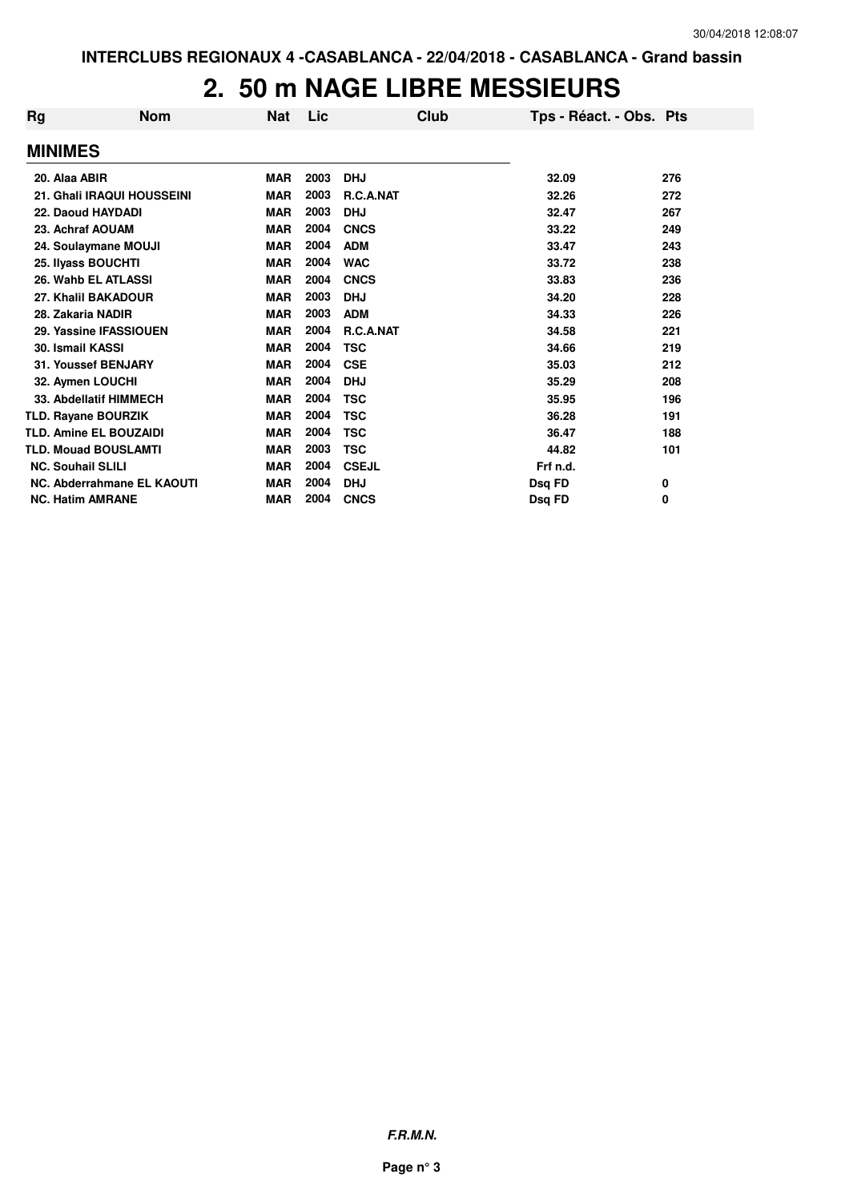#### **2. 50 m NAGE LIBRE MESSIEURS**

| Rg                       | <b>Nom</b>                    | <b>Nat</b> | Lic  | Club         | Tps - Réact. - Obs. Pts |     |
|--------------------------|-------------------------------|------------|------|--------------|-------------------------|-----|
| <b>MINIMES</b>           |                               |            |      |              |                         |     |
| 20. Alaa ABIR            |                               | <b>MAR</b> | 2003 | <b>DHJ</b>   | 32.09                   | 276 |
|                          | 21. Ghali IRAQUI HOUSSEINI    | <b>MAR</b> | 2003 | R.C.A.NAT    | 32.26                   | 272 |
|                          | 22. Daoud HAYDADI             | <b>MAR</b> | 2003 | <b>DHJ</b>   | 32.47                   | 267 |
| 23. Achraf AOUAM         |                               | <b>MAR</b> | 2004 | <b>CNCS</b>  | 33.22                   | 249 |
|                          | 24. Soulaymane MOUJI          | <b>MAR</b> | 2004 | <b>ADM</b>   | 33.47                   | 243 |
|                          | 25. Ilyass BOUCHTI            | <b>MAR</b> | 2004 | <b>WAC</b>   | 33.72                   | 238 |
|                          | 26. Wahb EL ATLASSI           | <b>MAR</b> | 2004 | <b>CNCS</b>  | 33.83                   | 236 |
|                          | 27. Khalil BAKADOUR           | <b>MAR</b> | 2003 | <b>DHJ</b>   | 34.20                   | 228 |
| 28. Zakaria NADIR        |                               | <b>MAR</b> | 2003 | <b>ADM</b>   | 34.33                   | 226 |
|                          | 29. Yassine IFASSIOUEN        | <b>MAR</b> | 2004 | R.C.A.NAT    | 34.58                   | 221 |
| <b>30. Ismail KASSI</b>  |                               | <b>MAR</b> | 2004 | <b>TSC</b>   | 34.66                   | 219 |
|                          | 31. Youssef BENJARY           | <b>MAR</b> | 2004 | <b>CSE</b>   | 35.03                   | 212 |
| 32. Aymen LOUCHI         |                               | <b>MAR</b> | 2004 | <b>DHJ</b>   | 35.29                   | 208 |
|                          | 33. Abdellatif HIMMECH        | <b>MAR</b> | 2004 | <b>TSC</b>   | 35.95                   | 196 |
|                          | <b>TLD. Rayane BOURZIK</b>    | <b>MAR</b> | 2004 | <b>TSC</b>   | 36.28                   | 191 |
|                          | <b>TLD. Amine EL BOUZAIDI</b> | <b>MAR</b> | 2004 | <b>TSC</b>   | 36.47                   | 188 |
|                          | <b>TLD. Mouad BOUSLAMTI</b>   | <b>MAR</b> | 2003 | <b>TSC</b>   | 44.82                   | 101 |
| <b>NC. Souhail SLILI</b> |                               | <b>MAR</b> | 2004 | <b>CSEJL</b> | Frf n.d.                |     |
|                          | NC. Abderrahmane EL KAOUTI    | <b>MAR</b> | 2004 | <b>DHJ</b>   | Dsg FD                  | 0   |
| <b>NC. Hatim AMRANE</b>  |                               | <b>MAR</b> | 2004 | <b>CNCS</b>  | Dsg FD                  | 0   |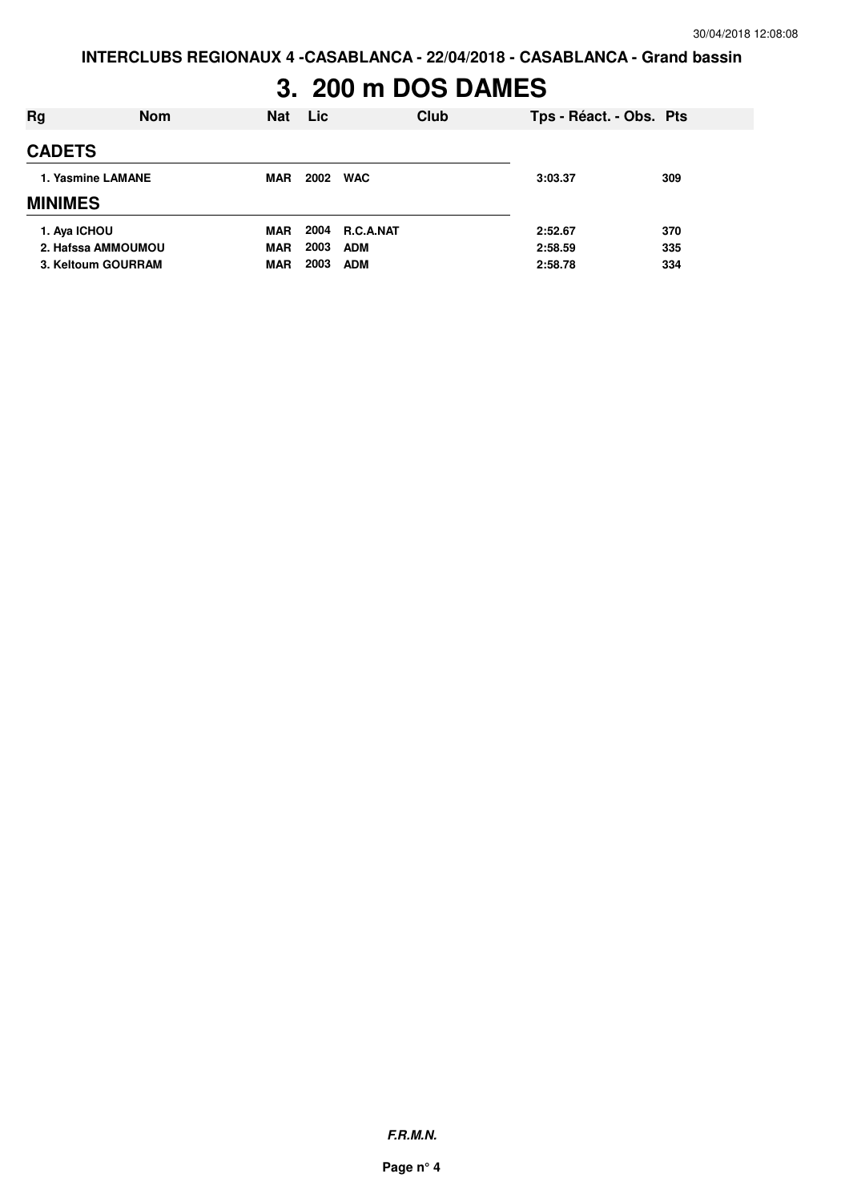**INTERCLUBS REGIONAUX 4 -CASABLANCA - 22/04/2018 - CASABLANCA - Grand bassin**

# **3. 200 m DOS DAMES**

| Rg                 | <b>Nom</b> | <b>Nat</b> | Lic        | Club           | Tps - Réact. - Obs. Pts |     |
|--------------------|------------|------------|------------|----------------|-------------------------|-----|
| <b>CADETS</b>      |            |            |            |                |                         |     |
| 1. Yasmine LAMANE  | <b>MAR</b> | 2002       | <b>WAC</b> | 3:03.37        | 309                     |     |
| <b>MINIMES</b>     |            |            |            |                |                         |     |
| 1. Aya ICHOU       |            | <b>MAR</b> |            | 2004 R.C.A.NAT | 2:52.67                 | 370 |
| 2. Hafssa AMMOUMOU |            | <b>MAR</b> | 2003       | <b>ADM</b>     | 2:58.59                 | 335 |
| 3. Keltoum GOURRAM |            | <b>MAR</b> | 2003       | <b>ADM</b>     | 2:58.78                 | 334 |

**F.R.M.N.**

**Page n° 4**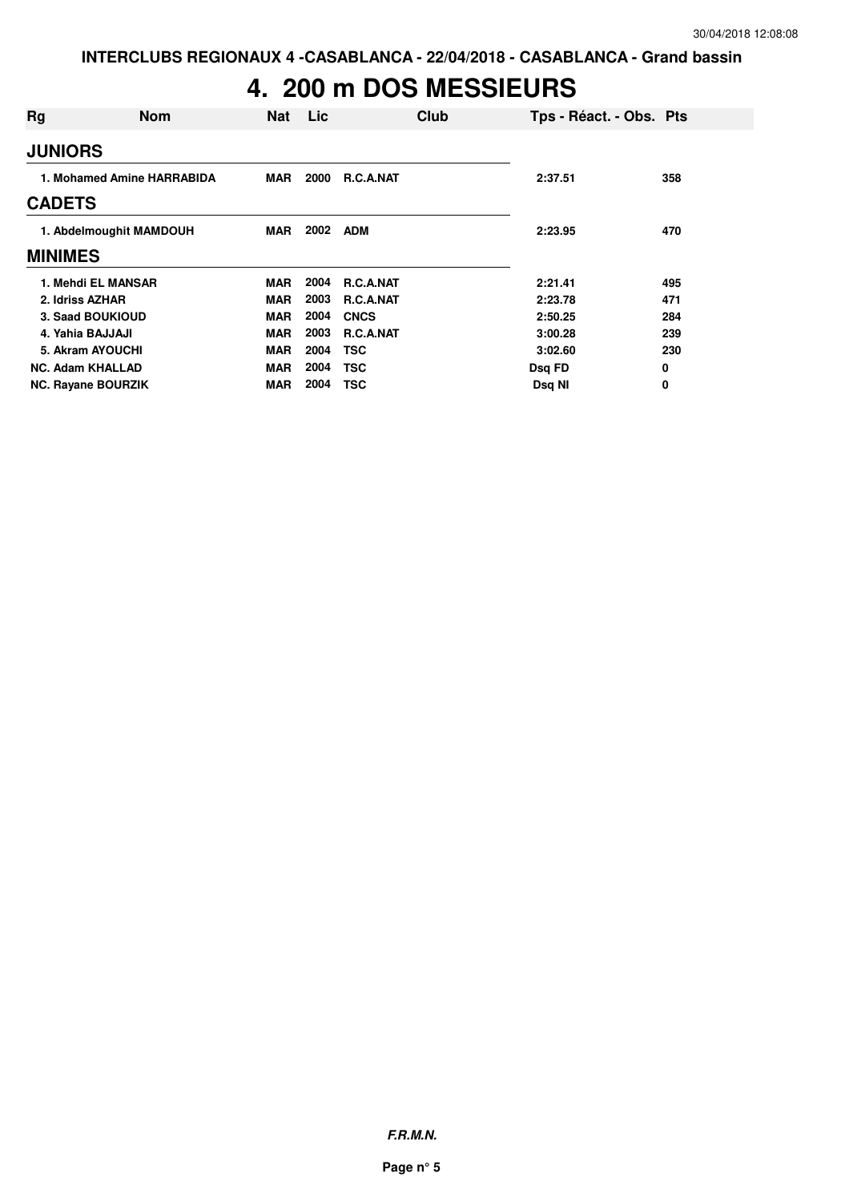### **4. 200 m DOS MESSIEURS**

| Rg                         | <b>Nom</b> | <b>Nat</b> | Lic  |                  | Club | Tps - Réact. - Obs. Pts |     |
|----------------------------|------------|------------|------|------------------|------|-------------------------|-----|
| <b>JUNIORS</b>             |            |            |      |                  |      |                         |     |
| 1. Mohamed Amine HARRABIDA |            | <b>MAR</b> | 2000 | <b>R.C.A.NAT</b> |      | 2:37.51                 | 358 |
| <b>CADETS</b>              |            |            |      |                  |      |                         |     |
| 1. Abdelmoughit MAMDOUH    |            | MAR        | 2002 | <b>ADM</b>       |      | 2:23.95                 | 470 |
| <b>MINIMES</b>             |            |            |      |                  |      |                         |     |
| 1. Mehdi EL MANSAR         |            | MAR        | 2004 | <b>R.C.A.NAT</b> |      | 2:21.41                 | 495 |
| 2. Idriss AZHAR            |            | MAR        | 2003 | <b>R.C.A.NAT</b> |      | 2:23.78                 | 471 |
| 3. Saad BOUKIOUD           |            | <b>MAR</b> | 2004 | <b>CNCS</b>      |      | 2:50.25                 | 284 |
| 4. Yahia BAJJAJI           |            | MAR        | 2003 | R.C.A.NAT        |      | 3:00.28                 | 239 |
| 5. Akram AYOUCHI           |            | <b>MAR</b> | 2004 | <b>TSC</b>       |      | 3:02.60                 | 230 |
| <b>NC. Adam KHALLAD</b>    |            | <b>MAR</b> | 2004 | <b>TSC</b>       |      | Dsq FD                  | 0   |
| <b>NC. Rayane BOURZIK</b>  |            | <b>MAR</b> | 2004 | <b>TSC</b>       |      | Dsq NI                  | 0   |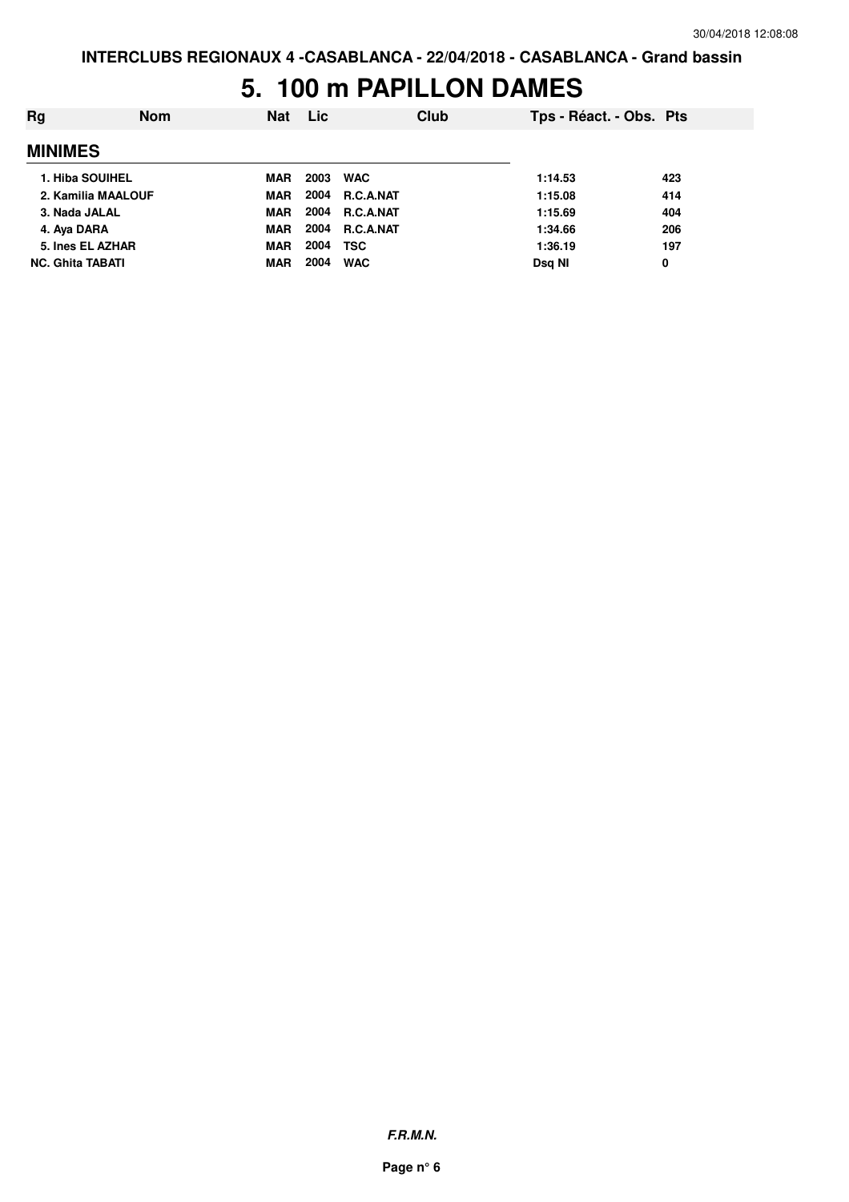#### **5. 100 m PAPILLON DAMES**

| Ra                      | <b>Nom</b> | <b>Nat</b> | Lic  | Club           | Tps - Réact. - Obs. Pts |     |
|-------------------------|------------|------------|------|----------------|-------------------------|-----|
| <b>MINIMES</b>          |            |            |      |                |                         |     |
| 1. Hiba SOUIHEL         |            | <b>MAR</b> | 2003 | <b>WAC</b>     | 1:14.53                 | 423 |
| 2. Kamilia MAALOUF      |            | <b>MAR</b> |      | 2004 R.C.A.NAT | 1:15.08                 | 414 |
| 3. Nada JALAL           |            | <b>MAR</b> |      | 2004 R.C.A.NAT | 1:15.69                 | 404 |
| 4. Aya DARA             |            | <b>MAR</b> |      | 2004 R.C.A.NAT | 1:34.66                 | 206 |
| 5. Ines EL AZHAR        |            | <b>MAR</b> | 2004 | <b>TSC</b>     | 1:36.19                 | 197 |
| <b>NC. Ghita TABATI</b> |            | <b>MAR</b> | 2004 | <b>WAC</b>     | Dsg NI                  | 0   |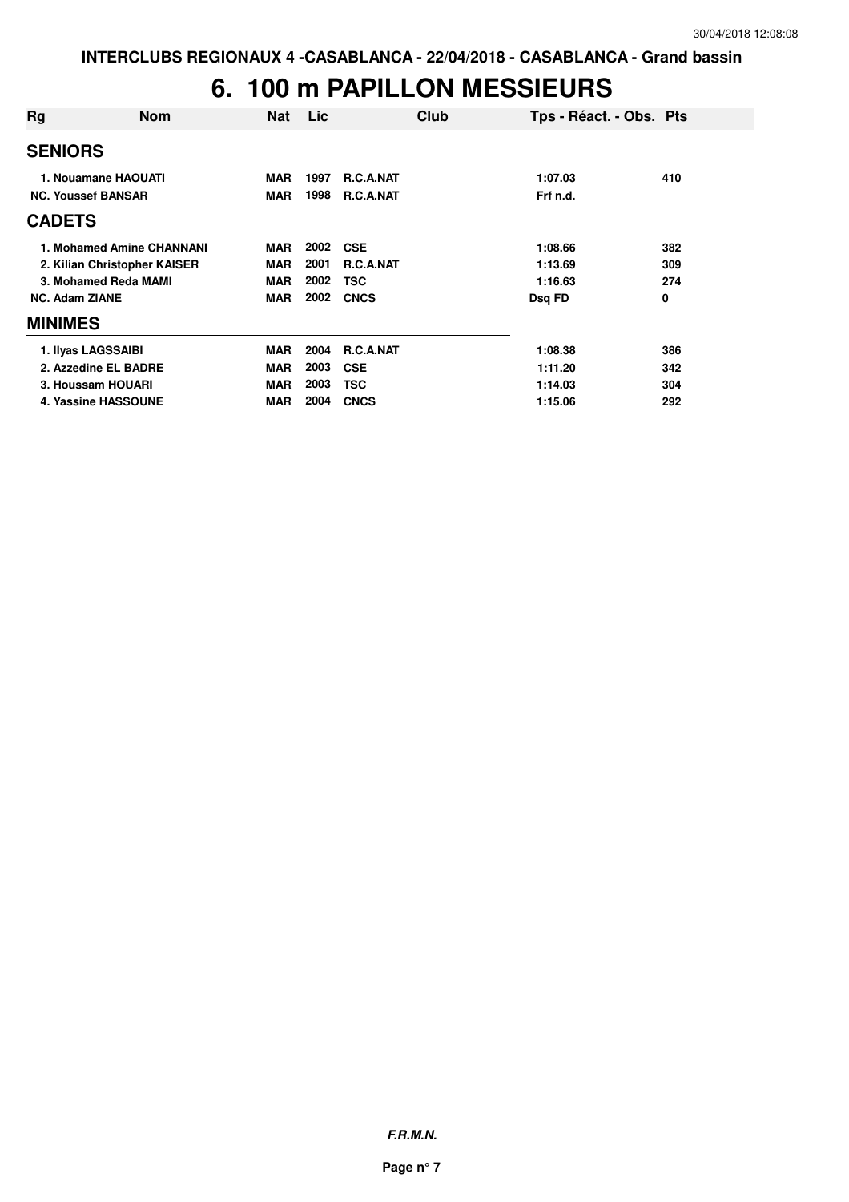### **6. 100 m PAPILLON MESSIEURS**

| Rg                        | <b>Nom</b>                   | Nat        | Lic  | <b>Club</b>      | Tps - Réact. - Obs. Pts |     |
|---------------------------|------------------------------|------------|------|------------------|-------------------------|-----|
| <b>SENIORS</b>            |                              |            |      |                  |                         |     |
| 1. Nouamane HAOUATI       |                              | <b>MAR</b> | 1997 | <b>R.C.A.NAT</b> | 1:07.03                 | 410 |
| <b>NC. Youssef BANSAR</b> |                              | <b>MAR</b> | 1998 | R.C.A.NAT        | Frf n.d.                |     |
| <b>CADETS</b>             |                              |            |      |                  |                         |     |
|                           | 1. Mohamed Amine CHANNANI    | <b>MAR</b> | 2002 | <b>CSE</b>       | 1:08.66                 | 382 |
|                           | 2. Kilian Christopher KAISER | <b>MAR</b> | 2001 | <b>R.C.A.NAT</b> | 1:13.69                 | 309 |
|                           | 3. Mohamed Reda MAMI         | <b>MAR</b> | 2002 | <b>TSC</b>       | 1:16.63                 | 274 |
| <b>NC. Adam ZIANE</b>     |                              | <b>MAR</b> | 2002 | <b>CNCS</b>      | Dsq FD                  | 0   |
| <b>MINIMES</b>            |                              |            |      |                  |                         |     |
|                           | 1. Ilyas LAGSSAIBI           | <b>MAR</b> | 2004 | R.C.A.NAT        | 1:08.38                 | 386 |
|                           | 2. Azzedine EL BADRE         | <b>MAR</b> | 2003 | <b>CSE</b>       | 1:11.20                 | 342 |
|                           | 3. Houssam HOUARI            | <b>MAR</b> | 2003 | <b>TSC</b>       | 1:14.03                 | 304 |
|                           | 4. Yassine HASSOUNE          | <b>MAR</b> | 2004 | <b>CNCS</b>      | 1:15.06                 | 292 |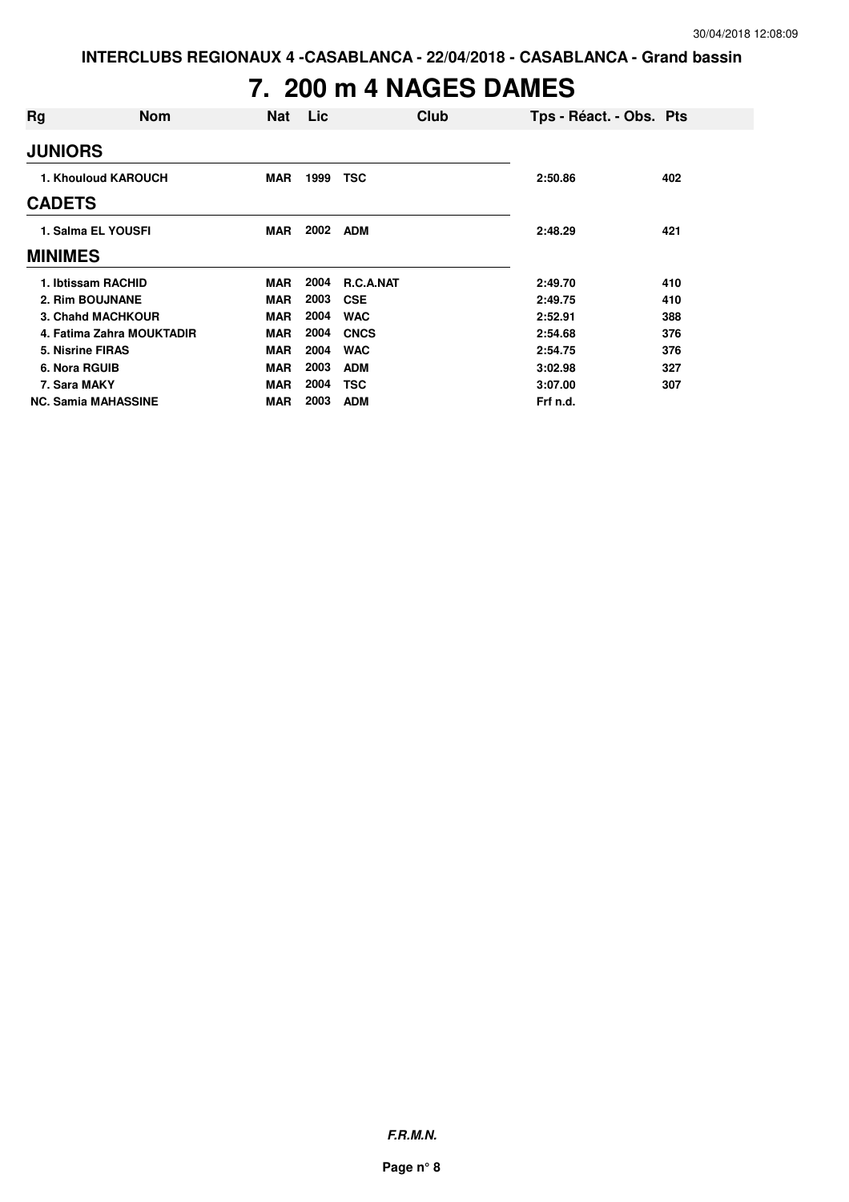### **7. 200 m 4 NAGES DAMES**

| Rg                         | <b>Nom</b>                | <b>Nat</b> | Lic  |                  | Club | Tps - Réact. - Obs. Pts |     |
|----------------------------|---------------------------|------------|------|------------------|------|-------------------------|-----|
| <b>JUNIORS</b>             |                           |            |      |                  |      |                         |     |
| 1. Khouloud KAROUCH        |                           | <b>MAR</b> | 1999 | <b>TSC</b>       |      | 2:50.86                 | 402 |
| <b>CADETS</b>              |                           |            |      |                  |      |                         |     |
| 1. Salma EL YOUSFI         |                           | <b>MAR</b> | 2002 | <b>ADM</b>       |      | 2:48.29                 | 421 |
| <b>MINIMES</b>             |                           |            |      |                  |      |                         |     |
| 1. Ibtissam RACHID         |                           | <b>MAR</b> | 2004 | <b>R.C.A.NAT</b> |      | 2:49.70                 | 410 |
| 2. Rim BOUJNANE            |                           | <b>MAR</b> | 2003 | <b>CSE</b>       |      | 2:49.75                 | 410 |
| 3. Chahd MACHKOUR          |                           | <b>MAR</b> | 2004 | <b>WAC</b>       |      | 2:52.91                 | 388 |
|                            | 4. Fatima Zahra MOUKTADIR | <b>MAR</b> | 2004 | <b>CNCS</b>      |      | 2:54.68                 | 376 |
| 5. Nisrine FIRAS           |                           | <b>MAR</b> | 2004 | <b>WAC</b>       |      | 2:54.75                 | 376 |
| 6. Nora RGUIB              |                           | <b>MAR</b> | 2003 | <b>ADM</b>       |      | 3:02.98                 | 327 |
| 7. Sara MAKY               |                           | <b>MAR</b> | 2004 | TSC              |      | 3:07.00                 | 307 |
| <b>NC. Samia MAHASSINE</b> |                           | <b>MAR</b> | 2003 | <b>ADM</b>       |      | Frf n.d.                |     |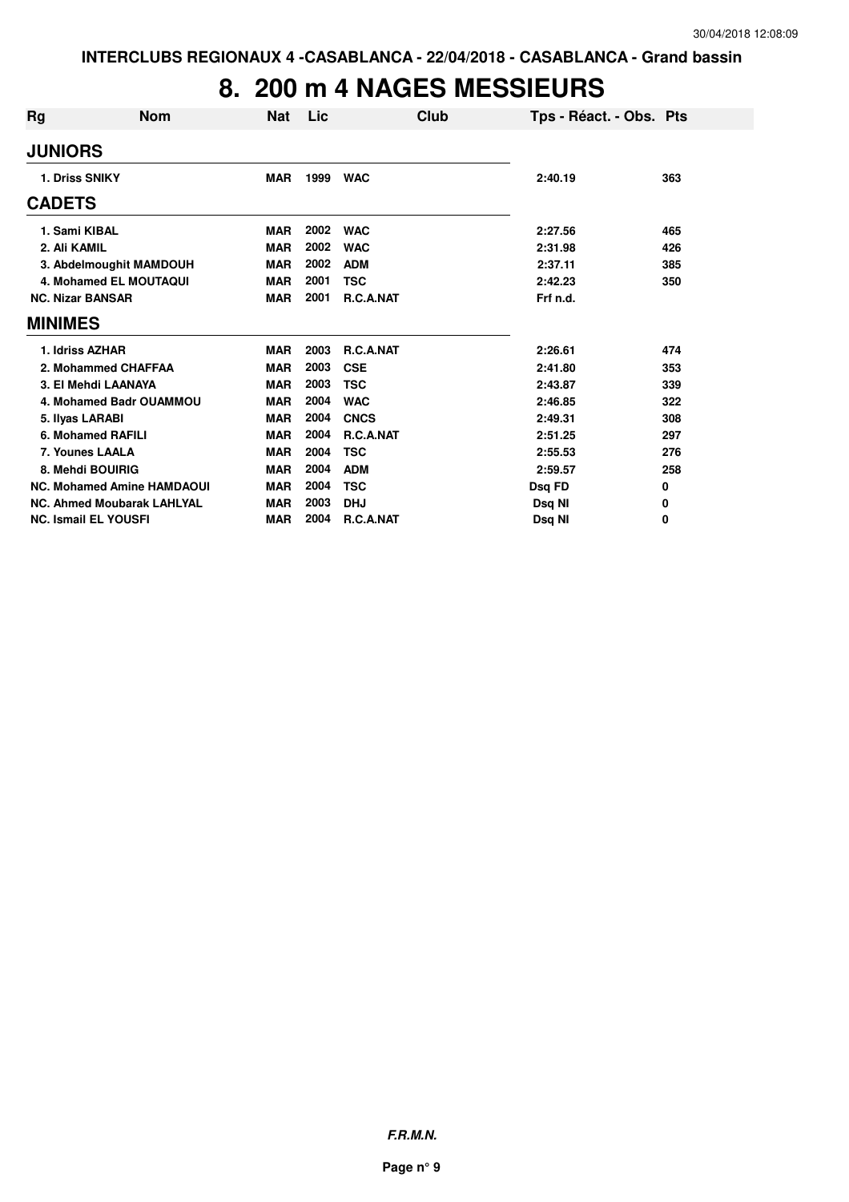### **8. 200 m 4 NAGES MESSIEURS**

| Rg                      | <b>Nom</b>                        | <b>Nat</b> | Lic  | Club        | Tps - Réact. - Obs. Pts |     |
|-------------------------|-----------------------------------|------------|------|-------------|-------------------------|-----|
| <b>JUNIORS</b>          |                                   |            |      |             |                         |     |
| 1. Driss SNIKY          |                                   | <b>MAR</b> | 1999 | <b>WAC</b>  | 2:40.19                 | 363 |
| <b>CADETS</b>           |                                   |            |      |             |                         |     |
| 1. Sami KIBAL           |                                   | <b>MAR</b> | 2002 | <b>WAC</b>  | 2:27.56                 | 465 |
| 2. Ali KAMIL            |                                   | <b>MAR</b> | 2002 | <b>WAC</b>  | 2:31.98                 | 426 |
|                         | 3. Abdelmoughit MAMDOUH           | <b>MAR</b> | 2002 | <b>ADM</b>  | 2:37.11                 | 385 |
|                         | 4. Mohamed EL MOUTAQUI            | <b>MAR</b> | 2001 | <b>TSC</b>  | 2:42.23                 | 350 |
| <b>NC. Nizar BANSAR</b> |                                   | <b>MAR</b> | 2001 | R.C.A.NAT   | Frf n.d.                |     |
| <b>MINIMES</b>          |                                   |            |      |             |                         |     |
| 1. Idriss AZHAR         |                                   | <b>MAR</b> | 2003 | R.C.A.NAT   | 2:26.61                 | 474 |
|                         | 2. Mohammed CHAFFAA               | <b>MAR</b> | 2003 | <b>CSE</b>  | 2:41.80                 | 353 |
|                         | 3. El Mehdi LAANAYA               | <b>MAR</b> | 2003 | <b>TSC</b>  | 2:43.87                 | 339 |
|                         | 4. Mohamed Badr OUAMMOU           | <b>MAR</b> | 2004 | <b>WAC</b>  | 2:46.85                 | 322 |
| 5. Ilyas LARABI         |                                   | <b>MAR</b> | 2004 | <b>CNCS</b> | 2:49.31                 | 308 |
|                         | 6. Mohamed RAFILI                 | <b>MAR</b> | 2004 | R.C.A.NAT   | 2:51.25                 | 297 |
| 7. Younes LAALA         |                                   | <b>MAR</b> | 2004 | <b>TSC</b>  | 2:55.53                 | 276 |
|                         | 8. Mehdi BOUIRIG                  | <b>MAR</b> | 2004 | <b>ADM</b>  | 2:59.57                 | 258 |
|                         | <b>NC. Mohamed Amine HAMDAOUI</b> | <b>MAR</b> | 2004 | <b>TSC</b>  | Dsq FD                  | 0   |
|                         | <b>NC. Ahmed Moubarak LAHLYAL</b> | <b>MAR</b> | 2003 | <b>DHJ</b>  | Dsq NI                  | 0   |
|                         | <b>NC. Ismail EL YOUSFI</b>       | <b>MAR</b> | 2004 | R.C.A.NAT   | Dsg NI                  | 0   |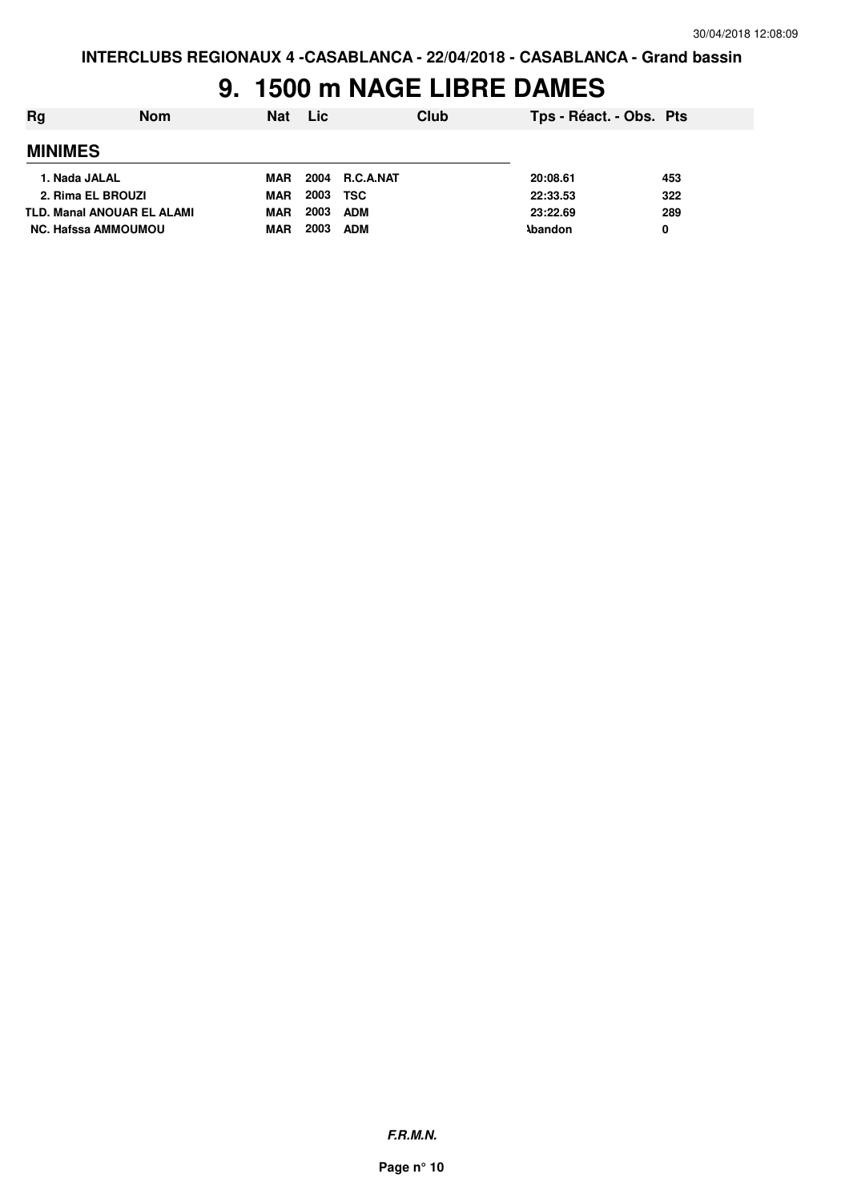### **9. 1500 m NAGE LIBRE DAMES**

| Rg                                | <b>Nom</b> | <b>Nat</b> | Lic  |                | Club | Tps - Réact. - Obs. Pts |     |
|-----------------------------------|------------|------------|------|----------------|------|-------------------------|-----|
| <b>MINIMES</b>                    |            |            |      |                |      |                         |     |
| 1. Nada JALAL                     |            | MAR        |      | 2004 R.C.A.NAT |      | 20:08.61                | 453 |
| 2. Rima EL BROUZI                 |            | MAR        | 2003 | TSC            |      | 22:33.53                | 322 |
| <b>TLD. Manal ANOUAR EL ALAMI</b> |            | <b>MAR</b> | 2003 | <b>ADM</b>     |      | 23:22.69                | 289 |
| NC. Hafssa AMMOUMOU               |            | <b>MAR</b> | 2003 | <b>ADM</b>     |      | <b>Abandon</b>          | 0   |

**F.R.M.N.**

**Page n° 10**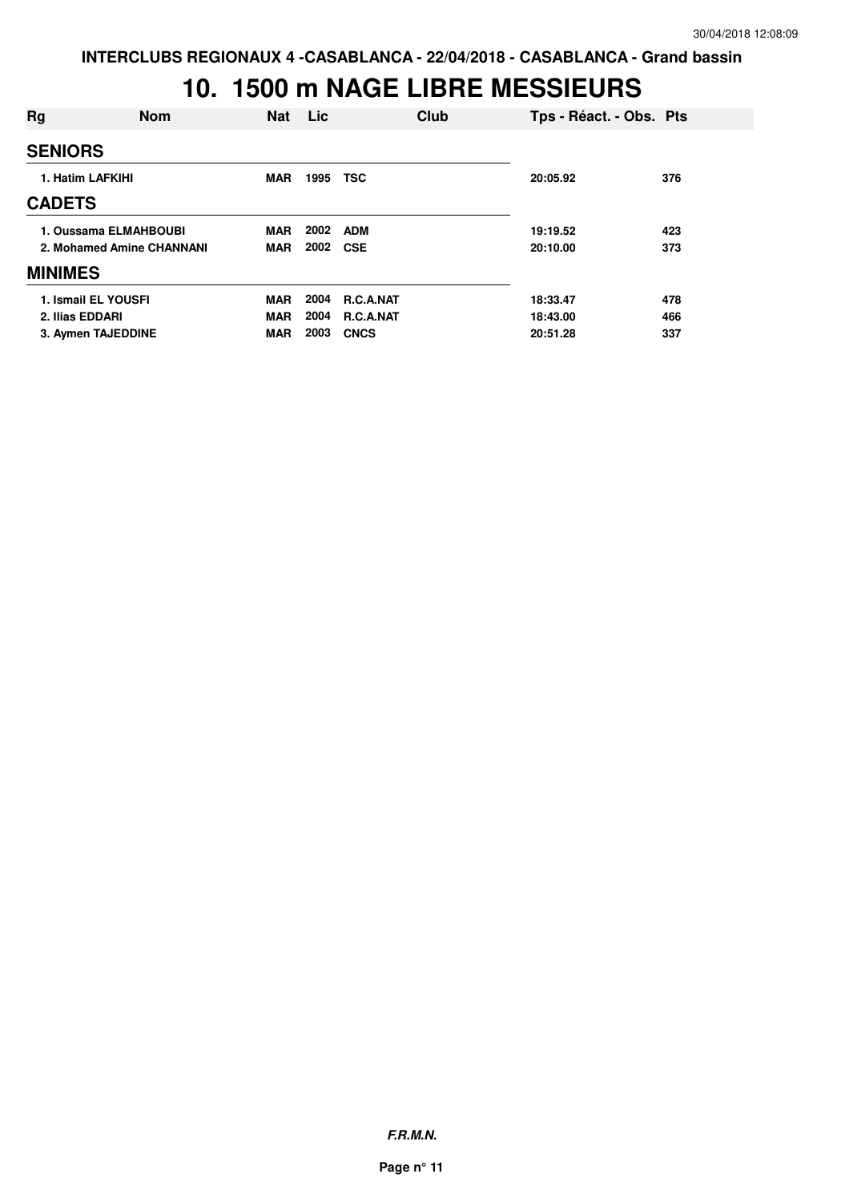### **10. 1500 m NAGE LIBRE MESSIEURS**

| Rg                    | <b>Nom</b>                | <b>Nat</b> | Lic  | Club        | Tps - Réact. - Obs. Pts |     |
|-----------------------|---------------------------|------------|------|-------------|-------------------------|-----|
| <b>SENIORS</b>        |                           |            |      |             |                         |     |
| 1. Hatim LAFKIHI      |                           | <b>MAR</b> | 1995 | <b>TSC</b>  | 20:05.92                | 376 |
| <b>CADETS</b>         |                           |            |      |             |                         |     |
| 1. Oussama ELMAHBOUBI |                           | <b>MAR</b> | 2002 | <b>ADM</b>  | 19:19.52                | 423 |
|                       | 2. Mohamed Amine CHANNANI | <b>MAR</b> | 2002 | <b>CSE</b>  | 20:10.00                | 373 |
| <b>MINIMES</b>        |                           |            |      |             |                         |     |
| 1. Ismail EL YOUSFI   |                           | <b>MAR</b> | 2004 | R.C.A.NAT   | 18:33.47                | 478 |
| 2. Ilias EDDARI       |                           | <b>MAR</b> | 2004 | R.C.A.NAT   | 18:43.00                | 466 |
| 3. Aymen TAJEDDINE    |                           | <b>MAR</b> | 2003 | <b>CNCS</b> | 20:51.28                | 337 |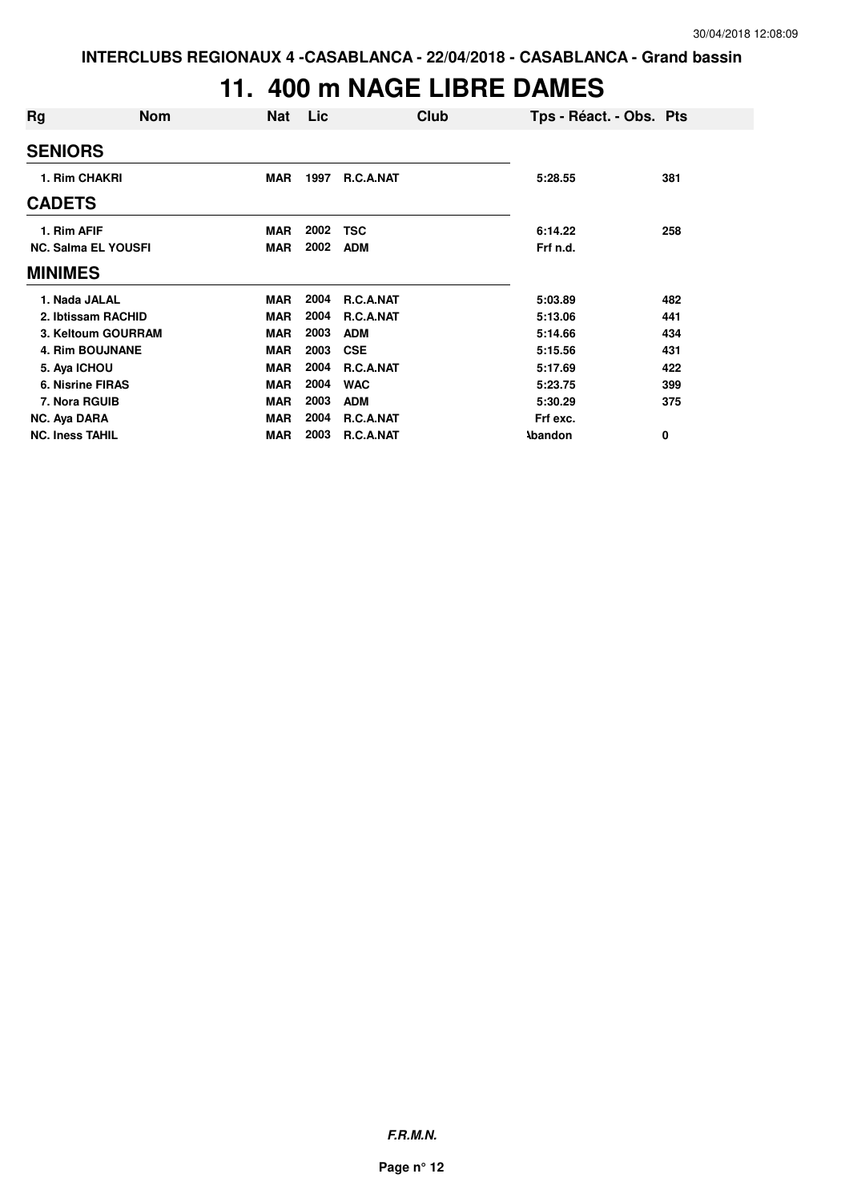### **11. 400 m NAGE LIBRE DAMES**

| Rg                         | <b>Nom</b> | <b>Nat</b> | Lic  | Club             | Tps - Réact. - Obs. Pts |     |
|----------------------------|------------|------------|------|------------------|-------------------------|-----|
| <b>SENIORS</b>             |            |            |      |                  |                         |     |
| 1. Rim CHAKRI              |            | <b>MAR</b> | 1997 | R.C.A.NAT        | 5:28.55                 | 381 |
| <b>CADETS</b>              |            |            |      |                  |                         |     |
| 1. Rim AFIF                |            | <b>MAR</b> | 2002 | <b>TSC</b>       | 6:14.22                 | 258 |
| <b>NC. Salma EL YOUSFI</b> |            | <b>MAR</b> | 2002 | <b>ADM</b>       | Frf n.d.                |     |
| <b>MINIMES</b>             |            |            |      |                  |                         |     |
| 1. Nada JALAL              |            | <b>MAR</b> | 2004 | <b>R.C.A.NAT</b> | 5:03.89                 | 482 |
| 2. Ibtissam RACHID         |            | <b>MAR</b> | 2004 | <b>R.C.A.NAT</b> | 5:13.06                 | 441 |
| 3. Keltoum GOURRAM         |            | <b>MAR</b> | 2003 | <b>ADM</b>       | 5:14.66                 | 434 |
| <b>4. Rim BOUJNANE</b>     |            | <b>MAR</b> | 2003 | <b>CSE</b>       | 5:15.56                 | 431 |
| 5. Aya ICHOU               |            | <b>MAR</b> | 2004 | R.C.A.NAT        | 5:17.69                 | 422 |
| <b>6. Nisrine FIRAS</b>    |            | <b>MAR</b> | 2004 | <b>WAC</b>       | 5:23.75                 | 399 |
| 7. Nora RGUIB              |            | MAR        | 2003 | <b>ADM</b>       | 5:30.29                 | 375 |
| NC. Aya DARA               |            | <b>MAR</b> | 2004 | R.C.A.NAT        | Frf exc.                |     |
| <b>NC. Iness TAHIL</b>     |            | <b>MAR</b> | 2003 | <b>R.C.A.NAT</b> | <b>Abandon</b>          | 0   |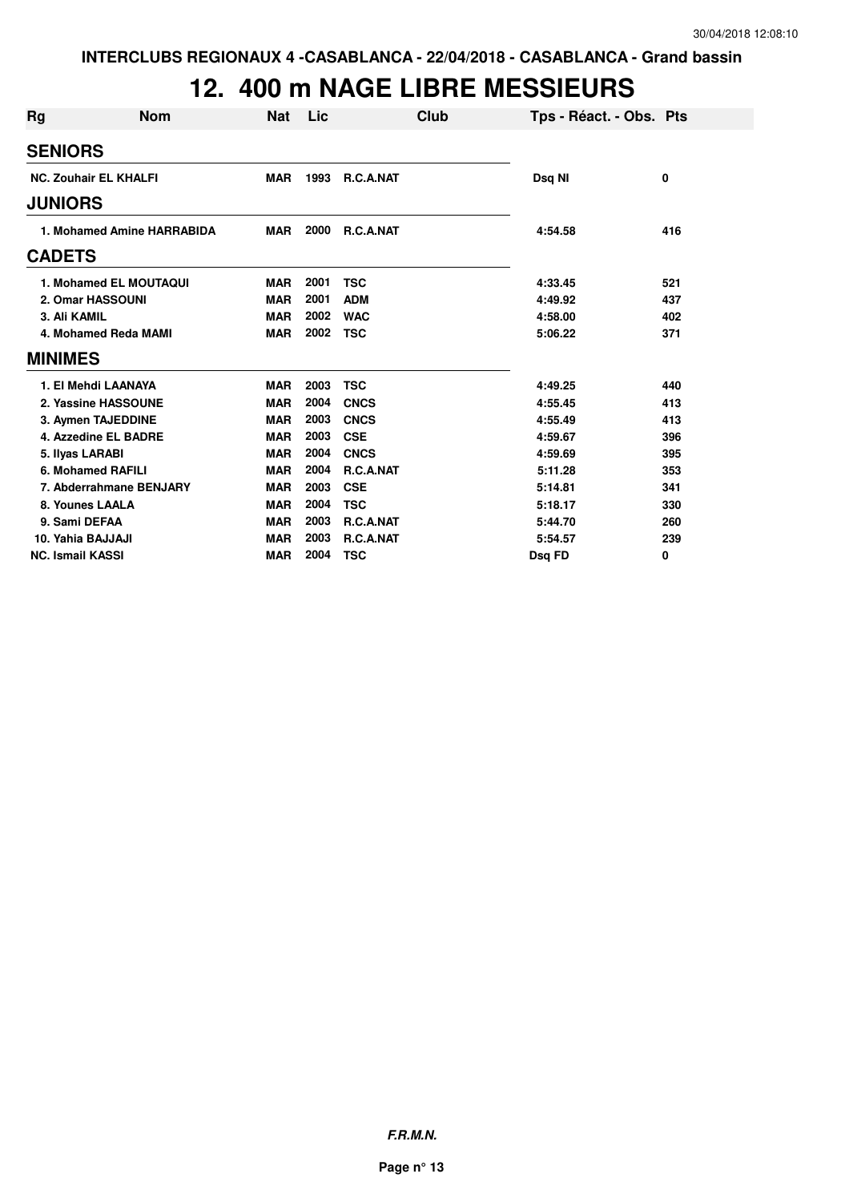### **12. 400 m NAGE LIBRE MESSIEURS**

| Rg             | <b>Nom</b>                   | Nat        | Lic  | Club        | Tps - Réact. - Obs. Pts |             |
|----------------|------------------------------|------------|------|-------------|-------------------------|-------------|
| <b>SENIORS</b> |                              |            |      |             |                         |             |
|                | <b>NC. Zouhair EL KHALFI</b> | <b>MAR</b> | 1993 | R.C.A.NAT   | Dsq NI                  | $\mathbf 0$ |
| <b>JUNIORS</b> |                              |            |      |             |                         |             |
|                | 1. Mohamed Amine HARRABIDA   | <b>MAR</b> | 2000 | R.C.A.NAT   | 4:54.58                 | 416         |
| <b>CADETS</b>  |                              |            |      |             |                         |             |
|                | 1. Mohamed EL MOUTAQUI       | <b>MAR</b> | 2001 | <b>TSC</b>  | 4:33.45                 | 521         |
|                | 2. Omar HASSOUNI             | <b>MAR</b> | 2001 | <b>ADM</b>  | 4:49.92                 | 437         |
|                | 3. Ali KAMIL                 | <b>MAR</b> | 2002 | <b>WAC</b>  | 4:58.00                 | 402         |
|                | 4. Mohamed Reda MAMI         | <b>MAR</b> | 2002 | <b>TSC</b>  | 5:06.22                 | 371         |
| <b>MINIMES</b> |                              |            |      |             |                         |             |
|                | 1. El Mehdi LAANAYA          | <b>MAR</b> | 2003 | <b>TSC</b>  | 4:49.25                 | 440         |
|                | 2. Yassine HASSOUNE          | <b>MAR</b> | 2004 | <b>CNCS</b> | 4:55.45                 | 413         |
|                | 3. Aymen TAJEDDINE           | <b>MAR</b> | 2003 | <b>CNCS</b> | 4:55.49                 | 413         |
|                | 4. Azzedine EL BADRE         | <b>MAR</b> | 2003 | <b>CSE</b>  | 4:59.67                 | 396         |
|                | 5. Ilyas LARABI              | <b>MAR</b> | 2004 | <b>CNCS</b> | 4:59.69                 | 395         |
|                | 6. Mohamed RAFILI            | <b>MAR</b> | 2004 | R.C.A.NAT   | 5:11.28                 | 353         |
|                | 7. Abderrahmane BENJARY      | <b>MAR</b> | 2003 | <b>CSE</b>  | 5:14.81                 | 341         |
|                | 8. Younes LAALA              | <b>MAR</b> | 2004 | <b>TSC</b>  | 5:18.17                 | 330         |
|                | 9. Sami DEFAA                | <b>MAR</b> | 2003 | R.C.A.NAT   | 5:44.70                 | 260         |
|                | 10. Yahia BAJJAJI            | <b>MAR</b> | 2003 | R.C.A.NAT   | 5:54.57                 | 239         |
|                | <b>NC. Ismail KASSI</b>      | <b>MAR</b> | 2004 | <b>TSC</b>  | Dsg FD                  | 0           |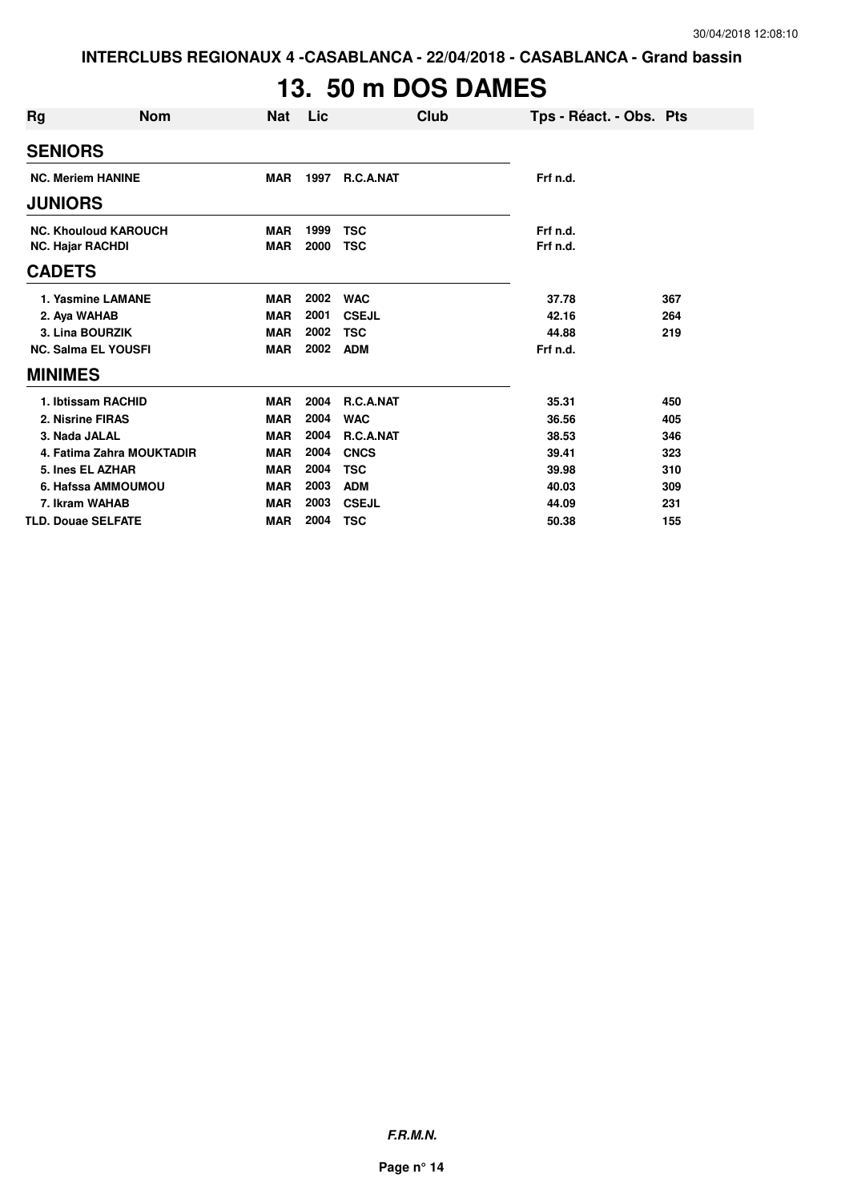# **13. 50 m DOS DAMES**

| Rg             | <b>Nom</b>                  | <b>Nat</b> | Lic  | Club         | Tps - Réact. - Obs. Pts |     |
|----------------|-----------------------------|------------|------|--------------|-------------------------|-----|
| <b>SENIORS</b> |                             |            |      |              |                         |     |
|                | <b>NC. Meriem HANINE</b>    | <b>MAR</b> | 1997 | R.C.A.NAT    | Frf n.d.                |     |
| <b>JUNIORS</b> |                             |            |      |              |                         |     |
|                | <b>NC. Khouloud KAROUCH</b> | <b>MAR</b> | 1999 | <b>TSC</b>   | Frf n.d.                |     |
|                | <b>NC. Hajar RACHDI</b>     | <b>MAR</b> | 2000 | <b>TSC</b>   | Frf n.d.                |     |
| <b>CADETS</b>  |                             |            |      |              |                         |     |
|                | 1. Yasmine LAMANE           | <b>MAR</b> | 2002 | <b>WAC</b>   | 37.78                   | 367 |
|                | 2. Aya WAHAB                | <b>MAR</b> | 2001 | <b>CSEJL</b> | 42.16                   | 264 |
|                | 3. Lina BOURZIK             | <b>MAR</b> | 2002 | <b>TSC</b>   | 44.88                   | 219 |
|                | <b>NC. Salma EL YOUSFI</b>  | <b>MAR</b> | 2002 | <b>ADM</b>   | Frf n.d.                |     |
| <b>MINIMES</b> |                             |            |      |              |                         |     |
|                | 1. Ibtissam RACHID          | <b>MAR</b> | 2004 | R.C.A.NAT    | 35.31                   | 450 |
|                | 2. Nisrine FIRAS            | <b>MAR</b> | 2004 | <b>WAC</b>   | 36.56                   | 405 |
|                | 3. Nada JALAL               | <b>MAR</b> | 2004 | R.C.A.NAT    | 38.53                   | 346 |
|                | 4. Fatima Zahra MOUKTADIR   | <b>MAR</b> | 2004 | <b>CNCS</b>  | 39.41                   | 323 |
|                | 5. Ines EL AZHAR            | <b>MAR</b> | 2004 | <b>TSC</b>   | 39.98                   | 310 |
|                | 6. Hafssa AMMOUMOU          | <b>MAR</b> | 2003 | <b>ADM</b>   | 40.03                   | 309 |
|                | 7. Ikram WAHAB              | <b>MAR</b> | 2003 | <b>CSEJL</b> | 44.09                   | 231 |
|                | <b>TLD. Douae SELFATE</b>   | <b>MAR</b> | 2004 | <b>TSC</b>   | 50.38                   | 155 |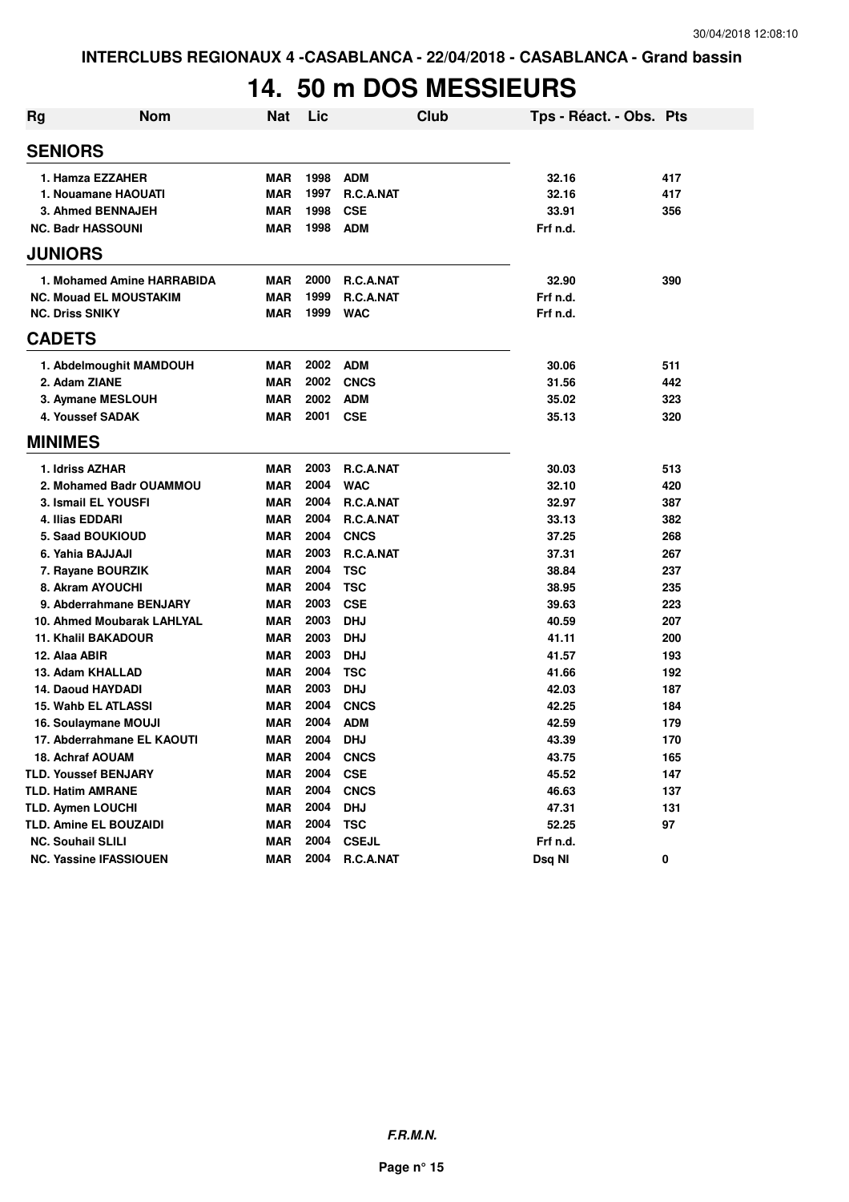### **14. 50 m DOS MESSIEURS**

| Rg | <b>Nom</b>                    | <b>Nat</b> | Lic  |                  | <b>Club</b> | Tps - Réact. - Obs. Pts |     |
|----|-------------------------------|------------|------|------------------|-------------|-------------------------|-----|
|    | <b>SENIORS</b>                |            |      |                  |             |                         |     |
|    | 1. Hamza EZZAHER              | <b>MAR</b> | 1998 | <b>ADM</b>       |             | 32.16                   | 417 |
|    | 1. Nouamane HAOUATI           | <b>MAR</b> | 1997 | R.C.A.NAT        |             | 32.16                   | 417 |
|    | 3. Ahmed BENNAJEH             | <b>MAR</b> | 1998 | <b>CSE</b>       |             | 33.91                   | 356 |
|    | <b>NC. Badr HASSOUNI</b>      | <b>MAR</b> | 1998 | <b>ADM</b>       |             | Frf n.d.                |     |
|    | <b>JUNIORS</b>                |            |      |                  |             |                         |     |
|    | 1. Mohamed Amine HARRABIDA    | <b>MAR</b> | 2000 | R.C.A.NAT        |             | 32.90                   | 390 |
|    | <b>NC. Mouad EL MOUSTAKIM</b> | <b>MAR</b> | 1999 | R.C.A.NAT        |             | Frf n.d.                |     |
|    | <b>NC. Driss SNIKY</b>        | <b>MAR</b> | 1999 | <b>WAC</b>       |             | Frf n.d.                |     |
|    | <b>CADETS</b>                 |            |      |                  |             |                         |     |
|    | 1. Abdelmoughit MAMDOUH       | <b>MAR</b> | 2002 | <b>ADM</b>       |             | 30.06                   | 511 |
|    | 2. Adam ZIANE                 | <b>MAR</b> | 2002 | <b>CNCS</b>      |             | 31.56                   | 442 |
|    | 3. Aymane MESLOUH             | <b>MAR</b> | 2002 | <b>ADM</b>       |             | 35.02                   | 323 |
|    | 4. Youssef SADAK              | <b>MAR</b> | 2001 | <b>CSE</b>       |             | 35.13                   | 320 |
|    | <b>MINIMES</b>                |            |      |                  |             |                         |     |
|    | 1. Idriss AZHAR               | <b>MAR</b> | 2003 | <b>R.C.A.NAT</b> |             | 30.03                   | 513 |
|    | 2. Mohamed Badr OUAMMOU       | <b>MAR</b> | 2004 | <b>WAC</b>       |             | 32.10                   | 420 |
|    | 3. Ismail EL YOUSFI           | <b>MAR</b> | 2004 | R.C.A.NAT        |             | 32.97                   | 387 |
|    | 4. Ilias EDDARI               | <b>MAR</b> | 2004 | R.C.A.NAT        |             | 33.13                   | 382 |
|    | 5. Saad BOUKIOUD              | <b>MAR</b> | 2004 | <b>CNCS</b>      |             | 37.25                   | 268 |
|    | 6. Yahia BAJJAJI              | <b>MAR</b> | 2003 | R.C.A.NAT        |             | 37.31                   | 267 |
|    | 7. Rayane BOURZIK             | <b>MAR</b> | 2004 | <b>TSC</b>       |             | 38.84                   | 237 |
|    | 8. Akram AYOUCHI              | <b>MAR</b> | 2004 | <b>TSC</b>       |             | 38.95                   | 235 |
|    | 9. Abderrahmane BENJARY       | <b>MAR</b> | 2003 | <b>CSE</b>       |             | 39.63                   | 223 |
|    | 10. Ahmed Moubarak LAHLYAL    | <b>MAR</b> | 2003 | <b>DHJ</b>       |             | 40.59                   | 207 |
|    | <b>11. Khalil BAKADOUR</b>    | <b>MAR</b> | 2003 | <b>DHJ</b>       |             | 41.11                   | 200 |
|    | 12. Alaa ABIR                 | <b>MAR</b> | 2003 | <b>DHJ</b>       |             | 41.57                   | 193 |
|    | 13. Adam KHALLAD              | <b>MAR</b> | 2004 | <b>TSC</b>       |             | 41.66                   | 192 |
|    | 14. Daoud HAYDADI             | <b>MAR</b> | 2003 | <b>DHJ</b>       |             | 42.03                   | 187 |
|    | <b>15. Wahb EL ATLASSI</b>    | MAR        | 2004 | <b>CNCS</b>      |             | 42.25                   | 184 |
|    | 16. Soulaymane MOUJI          | MAR        | 2004 | <b>ADM</b>       |             | 42.59                   | 179 |
|    | 17. Abderrahmane EL KAOUTI    | <b>MAR</b> | 2004 | <b>DHJ</b>       |             | 43.39                   | 170 |
|    | 18. Achraf AOUAM              | MAR        | 2004 | <b>CNCS</b>      |             | 43.75                   | 165 |
|    | <b>TLD. Youssef BENJARY</b>   | <b>MAR</b> | 2004 | <b>CSE</b>       |             | 45.52                   | 147 |
|    | <b>TLD. Hatim AMRANE</b>      | <b>MAR</b> | 2004 | <b>CNCS</b>      |             | 46.63                   | 137 |
|    | <b>TLD. Aymen LOUCHI</b>      | <b>MAR</b> | 2004 | <b>DHJ</b>       |             | 47.31                   | 131 |
|    | <b>TLD. Amine EL BOUZAIDI</b> | <b>MAR</b> | 2004 | <b>TSC</b>       |             | 52.25                   | 97  |
|    | <b>NC. Souhail SLILI</b>      | <b>MAR</b> | 2004 | <b>CSEJL</b>     |             | Frf n.d.                |     |
|    | <b>NC. Yassine IFASSIOUEN</b> | <b>MAR</b> | 2004 | R.C.A.NAT        |             | Dsq NI                  | 0   |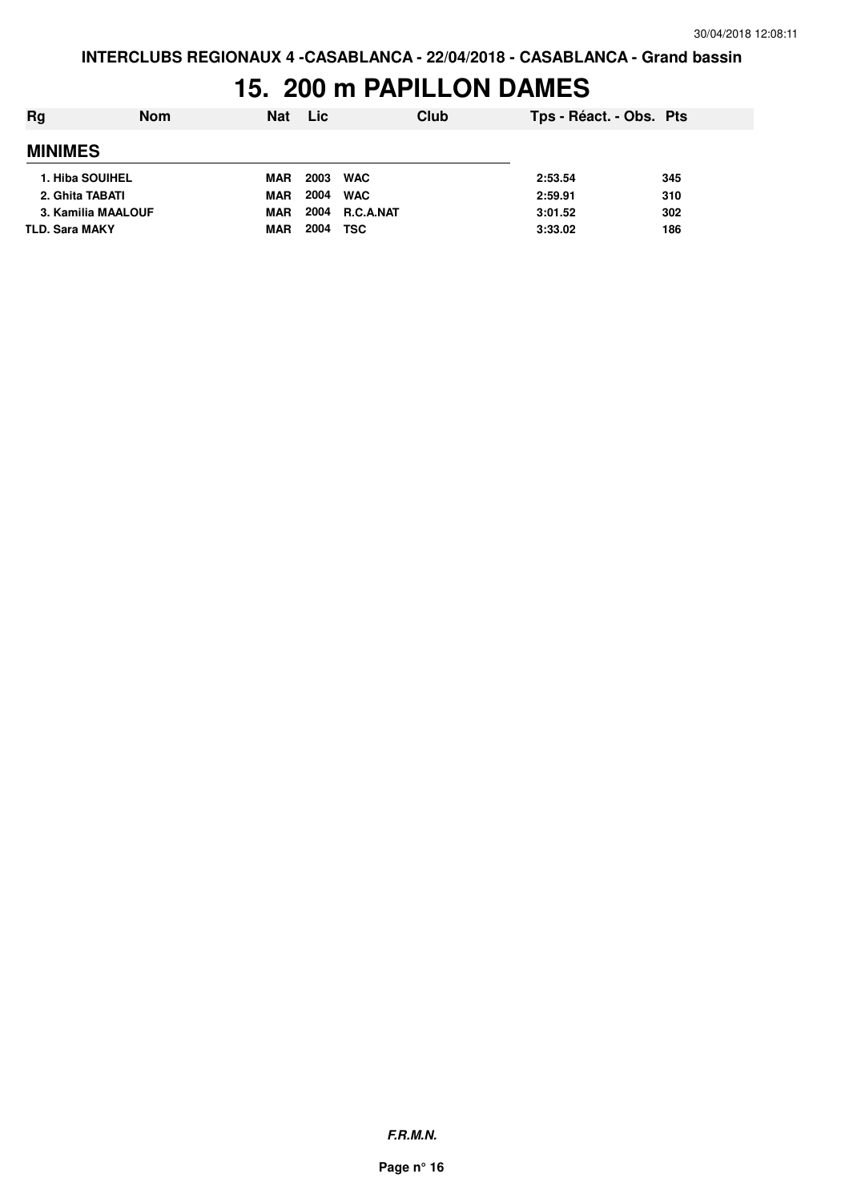### **15. 200 m PAPILLON DAMES**

| Rg                    | <b>Nom</b> | <b>Nat</b> | Lic  |                  | Club | Tps - Réact. - Obs. Pts |     |
|-----------------------|------------|------------|------|------------------|------|-------------------------|-----|
| <b>MINIMES</b>        |            |            |      |                  |      |                         |     |
| 1. Hiba SOUIHEL       |            | <b>MAR</b> | 2003 | <b>WAC</b>       |      | 2:53.54                 | 345 |
| 2. Ghita TABATI       |            | <b>MAR</b> | 2004 | <b>WAC</b>       |      | 2:59.91                 | 310 |
| 3. Kamilia MAALOUF    |            | <b>MAR</b> | 2004 | <b>R.C.A.NAT</b> |      | 3:01.52                 | 302 |
| <b>TLD. Sara MAKY</b> |            | <b>MAR</b> | 2004 | <b>TSC</b>       |      | 3:33.02                 | 186 |

**F.R.M.N.**

**Page n° 16**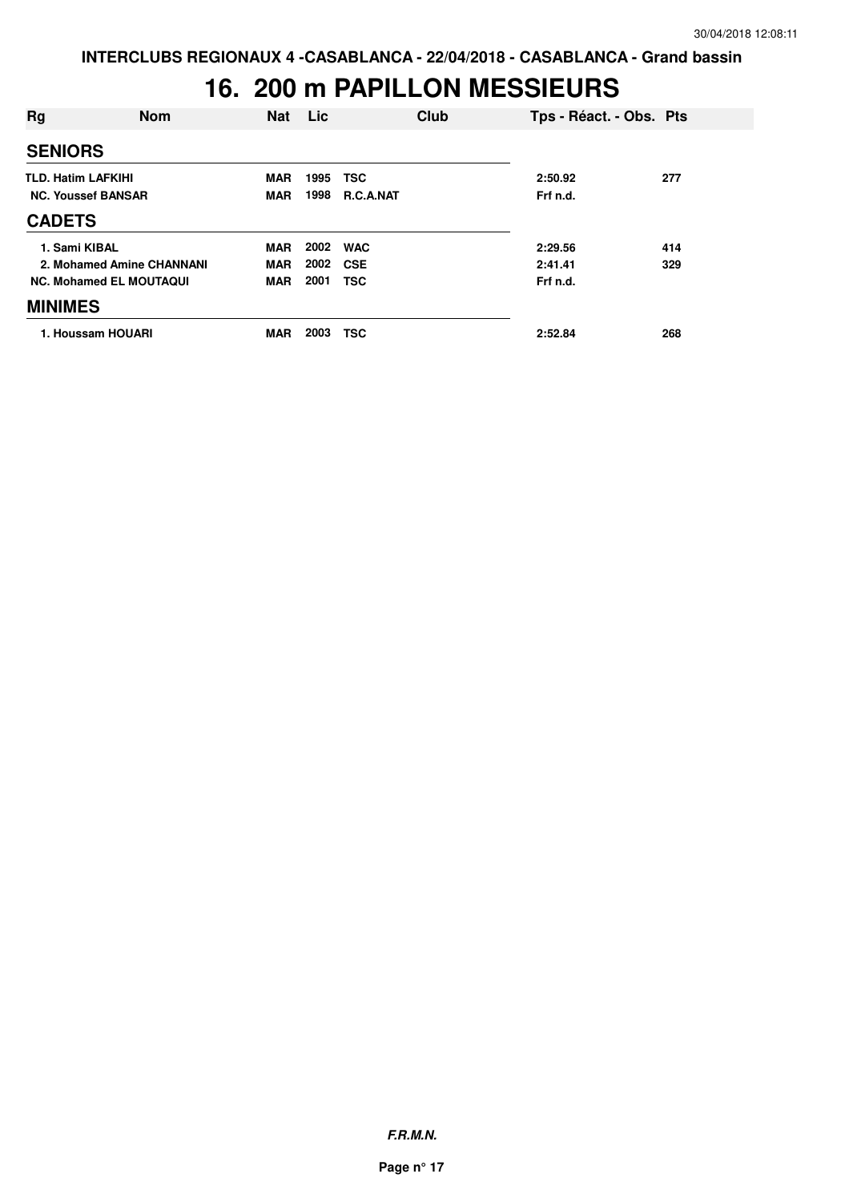### **16. 200 m PAPILLON MESSIEURS**

| Rg                        | <b>Nom</b>                     | <b>Nat</b> | Lic  | Club             | Tps - Réact. - Obs. Pts |     |
|---------------------------|--------------------------------|------------|------|------------------|-------------------------|-----|
| <b>SENIORS</b>            |                                |            |      |                  |                         |     |
| <b>TLD. Hatim LAFKIHI</b> |                                | <b>MAR</b> | 1995 | <b>TSC</b>       | 2:50.92                 | 277 |
|                           | <b>NC. Youssef BANSAR</b>      | <b>MAR</b> | 1998 | <b>R.C.A.NAT</b> | Frf n.d.                |     |
| <b>CADETS</b>             |                                |            |      |                  |                         |     |
| 1. Sami KIBAL             |                                | MAR        | 2002 | <b>WAC</b>       | 2:29.56                 | 414 |
|                           | 2. Mohamed Amine CHANNANI      | <b>MAR</b> | 2002 | <b>CSE</b>       | 2:41.41                 | 329 |
|                           | <b>NC. Mohamed EL MOUTAQUI</b> | <b>MAR</b> | 2001 | <b>TSC</b>       | Frf n.d.                |     |
| <b>MINIMES</b>            |                                |            |      |                  |                         |     |
|                           | 1. Houssam HOUARI              | <b>MAR</b> | 2003 | <b>TSC</b>       | 2:52.84                 | 268 |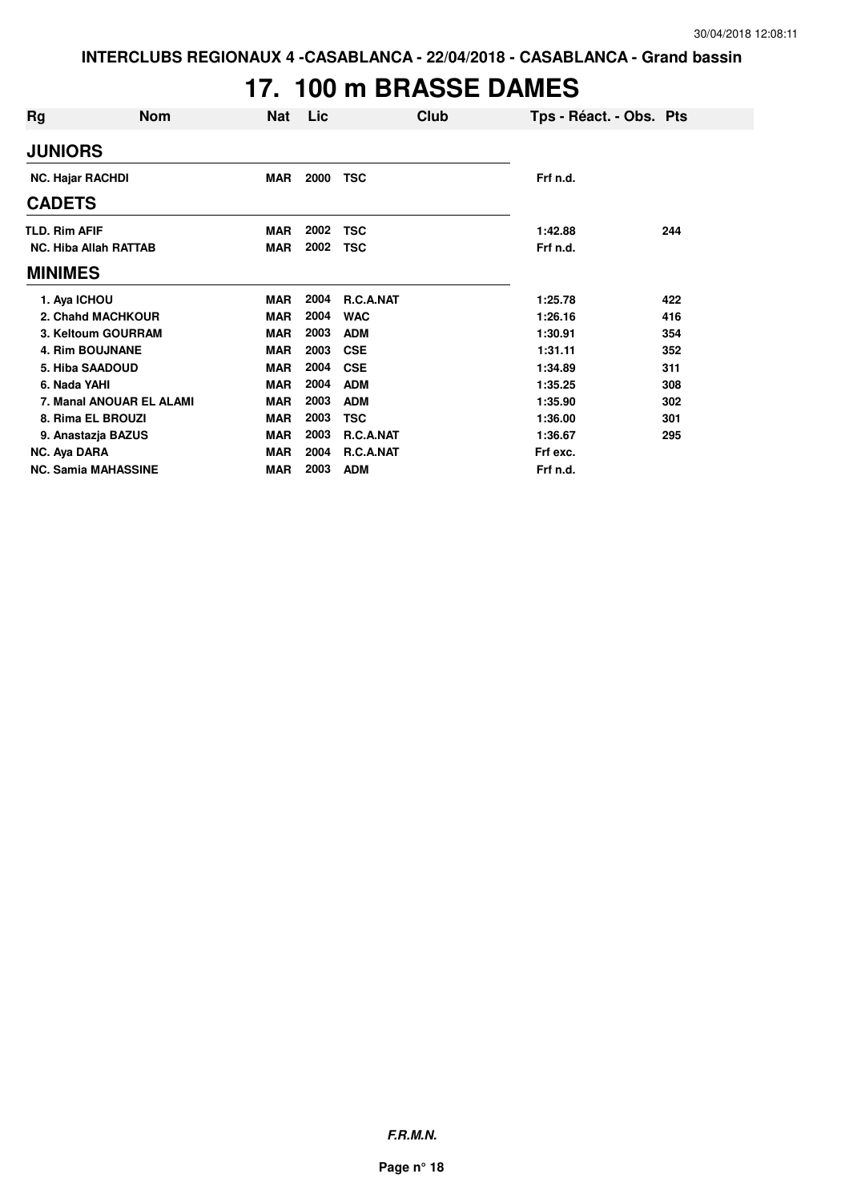# **17. 100 m BRASSE DAMES**

| Rg                      | <b>Nom</b>                   | <b>Nat</b> | Lic  | Club       | Tps - Réact. - Obs. Pts |     |
|-------------------------|------------------------------|------------|------|------------|-------------------------|-----|
| <b>JUNIORS</b>          |                              |            |      |            |                         |     |
| <b>NC. Hajar RACHDI</b> |                              | <b>MAR</b> | 2000 | <b>TSC</b> | Frf n.d.                |     |
| <b>CADETS</b>           |                              |            |      |            |                         |     |
| <b>TLD. Rim AFIF</b>    |                              | <b>MAR</b> | 2002 | <b>TSC</b> | 1:42.88                 | 244 |
|                         | <b>NC. Hiba Allah RATTAB</b> | <b>MAR</b> | 2002 | <b>TSC</b> | Frf n.d.                |     |
| <b>MINIMES</b>          |                              |            |      |            |                         |     |
| 1. Aya ICHOU            |                              | <b>MAR</b> | 2004 | R.C.A.NAT  | 1:25.78                 | 422 |
|                         | 2. Chahd MACHKOUR            | <b>MAR</b> | 2004 | <b>WAC</b> | 1:26.16                 | 416 |
|                         | 3. Keltoum GOURRAM           | <b>MAR</b> | 2003 | <b>ADM</b> | 1:30.91                 | 354 |
|                         | <b>4. Rim BOUJNANE</b>       | <b>MAR</b> | 2003 | <b>CSE</b> | 1:31.11                 | 352 |
|                         | 5. Hiba SAADOUD              | <b>MAR</b> | 2004 | <b>CSE</b> | 1:34.89                 | 311 |
| 6. Nada YAHI            |                              | <b>MAR</b> | 2004 | <b>ADM</b> | 1:35.25                 | 308 |
|                         | 7. Manal ANOUAR EL ALAMI     | <b>MAR</b> | 2003 | <b>ADM</b> | 1:35.90                 | 302 |
|                         | 8. Rima EL BROUZI            | <b>MAR</b> | 2003 | <b>TSC</b> | 1:36.00                 | 301 |
|                         | 9. Anastazja BAZUS           | <b>MAR</b> | 2003 | R.C.A.NAT  | 1:36.67                 | 295 |
| NC. Aya DARA            |                              | <b>MAR</b> | 2004 | R.C.A.NAT  | Frf exc.                |     |
|                         | <b>NC. Samia MAHASSINE</b>   | <b>MAR</b> | 2003 | <b>ADM</b> | Frf n.d.                |     |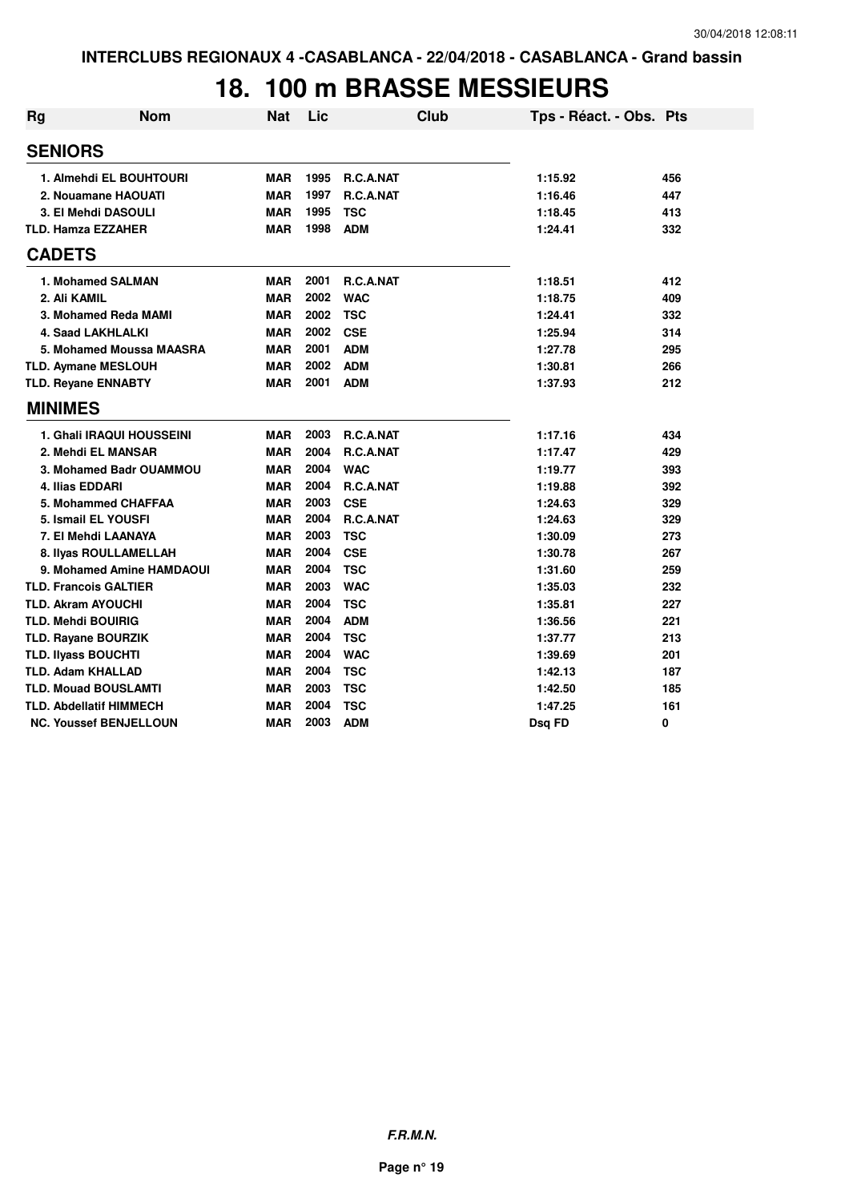### **18. 100 m BRASSE MESSIEURS**

| <b>Rg</b> | <b>Nom</b>                       | <b>Nat</b> | Lic  |                  | <b>Club</b> | Tps - Réact. - Obs. Pts |     |
|-----------|----------------------------------|------------|------|------------------|-------------|-------------------------|-----|
|           | <b>SENIORS</b>                   |            |      |                  |             |                         |     |
|           | 1. Almehdi EL BOUHTOURI          | <b>MAR</b> | 1995 | <b>R.C.A.NAT</b> |             | 1:15.92                 | 456 |
|           | 2. Nouamane HAOUATI              | <b>MAR</b> | 1997 | R.C.A.NAT        |             | 1:16.46                 | 447 |
|           | 3. El Mehdi DASOULI              | <b>MAR</b> | 1995 | <b>TSC</b>       |             | 1:18.45                 | 413 |
|           | <b>TLD. Hamza EZZAHER</b>        | <b>MAR</b> | 1998 | <b>ADM</b>       |             | 1:24.41                 | 332 |
|           | <b>CADETS</b>                    |            |      |                  |             |                         |     |
|           | 1. Mohamed SALMAN                | <b>MAR</b> | 2001 | <b>R.C.A.NAT</b> |             | 1:18.51                 | 412 |
|           | 2. Ali KAMIL                     | <b>MAR</b> | 2002 | <b>WAC</b>       |             | 1:18.75                 | 409 |
|           | 3. Mohamed Reda MAMI             | <b>MAR</b> | 2002 | <b>TSC</b>       |             | 1:24.41                 | 332 |
|           | 4. Saad LAKHLALKI                | <b>MAR</b> | 2002 | <b>CSE</b>       |             | 1:25.94                 | 314 |
|           | 5. Mohamed Moussa MAASRA         | <b>MAR</b> | 2001 | <b>ADM</b>       |             | 1:27.78                 | 295 |
|           | <b>TLD. Aymane MESLOUH</b>       | <b>MAR</b> | 2002 | <b>ADM</b>       |             | 1:30.81                 | 266 |
|           | <b>TLD. Reyane ENNABTY</b>       | <b>MAR</b> | 2001 | <b>ADM</b>       |             | 1:37.93                 | 212 |
|           | <b>MINIMES</b>                   |            |      |                  |             |                         |     |
|           | <b>1. Ghali IRAQUI HOUSSEINI</b> | <b>MAR</b> | 2003 | R.C.A.NAT        |             | 1:17.16                 | 434 |
|           | 2. Mehdi EL MANSAR               | <b>MAR</b> | 2004 | <b>R.C.A.NAT</b> |             | 1:17.47                 | 429 |
|           | 3. Mohamed Badr OUAMMOU          | <b>MAR</b> | 2004 | <b>WAC</b>       |             | 1:19.77                 | 393 |
|           | 4. Ilias EDDARI                  | <b>MAR</b> | 2004 | R.C.A.NAT        |             | 1:19.88                 | 392 |
|           | 5. Mohammed CHAFFAA              | <b>MAR</b> | 2003 | <b>CSE</b>       |             | 1:24.63                 | 329 |
|           | 5. Ismail EL YOUSFI              | <b>MAR</b> | 2004 | R.C.A.NAT        |             | 1:24.63                 | 329 |
|           | 7. El Mehdi LAANAYA              | <b>MAR</b> | 2003 | <b>TSC</b>       |             | 1:30.09                 | 273 |
|           | 8. IIyas ROULLAMELLAH            | <b>MAR</b> | 2004 | <b>CSE</b>       |             | 1:30.78                 | 267 |
|           | 9. Mohamed Amine HAMDAOUI        | <b>MAR</b> | 2004 | <b>TSC</b>       |             | 1:31.60                 | 259 |
|           | <b>TLD. Francois GALTIER</b>     | <b>MAR</b> | 2003 | <b>WAC</b>       |             | 1:35.03                 | 232 |
|           | <b>TLD. Akram AYOUCHI</b>        | <b>MAR</b> | 2004 | <b>TSC</b>       |             | 1:35.81                 | 227 |
|           | <b>TLD. Mehdi BOUIRIG</b>        | <b>MAR</b> | 2004 | <b>ADM</b>       |             | 1:36.56                 | 221 |
|           | <b>TLD. Rayane BOURZIK</b>       | <b>MAR</b> | 2004 | <b>TSC</b>       |             | 1:37.77                 | 213 |
|           | <b>TLD. Ilyass BOUCHTI</b>       | <b>MAR</b> | 2004 | <b>WAC</b>       |             | 1:39.69                 | 201 |
|           | <b>TLD. Adam KHALLAD</b>         | <b>MAR</b> | 2004 | <b>TSC</b>       |             | 1:42.13                 | 187 |
|           | <b>TLD. Mouad BOUSLAMTI</b>      | <b>MAR</b> | 2003 | <b>TSC</b>       |             | 1:42.50                 | 185 |
|           | <b>TLD. Abdellatif HIMMECH</b>   | <b>MAR</b> | 2004 | <b>TSC</b>       |             | 1:47.25                 | 161 |
|           | <b>NC. Youssef BENJELLOUN</b>    | <b>MAR</b> | 2003 | <b>ADM</b>       |             | Dsq FD                  | 0   |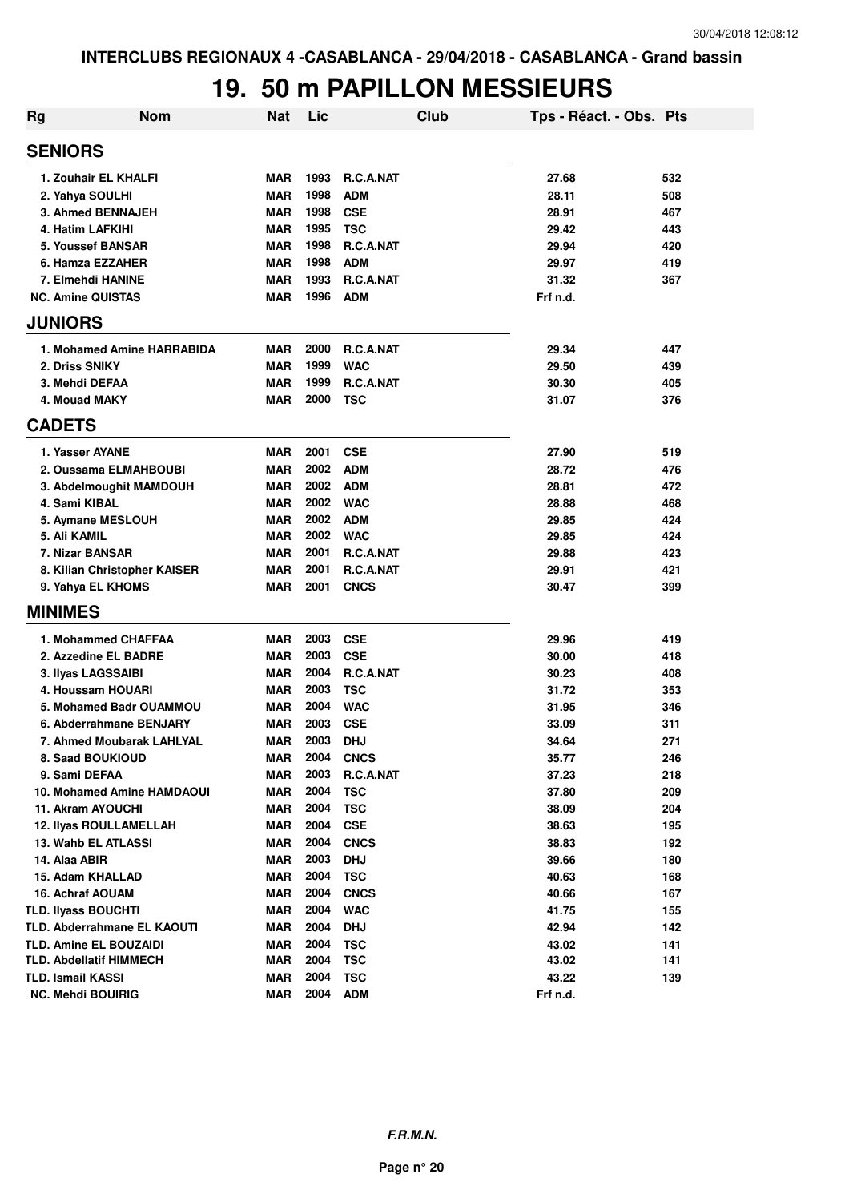### **19. 50 m PAPILLON MESSIEURS**

| Rg                       | <b>Nom</b>                     | <b>Nat</b> | Lic  | Club             | Tps - Réact. - Obs. Pts |     |
|--------------------------|--------------------------------|------------|------|------------------|-------------------------|-----|
| <b>SENIORS</b>           |                                |            |      |                  |                         |     |
|                          | 1. Zouhair EL KHALFI           | <b>MAR</b> | 1993 | <b>R.C.A.NAT</b> | 27.68                   | 532 |
|                          | 2. Yahya SOULHI                | <b>MAR</b> | 1998 | <b>ADM</b>       | 28.11                   | 508 |
|                          | 3. Ahmed BENNAJEH              | <b>MAR</b> | 1998 | <b>CSE</b>       | 28.91                   | 467 |
|                          | 4. Hatim LAFKIHI               | <b>MAR</b> | 1995 | <b>TSC</b>       | 29.42                   | 443 |
|                          | 5. Youssef BANSAR              | <b>MAR</b> | 1998 | R.C.A.NAT        | 29.94                   | 420 |
|                          | 6. Hamza EZZAHER               | <b>MAR</b> | 1998 | <b>ADM</b>       | 29.97                   | 419 |
|                          | 7. Elmehdi HANINE              | <b>MAR</b> | 1993 | R.C.A.NAT        | 31.32                   | 367 |
|                          | <b>NC. Amine QUISTAS</b>       | <b>MAR</b> | 1996 | <b>ADM</b>       | Frf n.d.                |     |
| <b>JUNIORS</b>           |                                |            |      |                  |                         |     |
|                          | 1. Mohamed Amine HARRABIDA     | <b>MAR</b> | 2000 | <b>R.C.A.NAT</b> | 29.34                   | 447 |
|                          | 2. Driss SNIKY                 | <b>MAR</b> | 1999 | <b>WAC</b>       | 29.50                   | 439 |
|                          | 3. Mehdi DEFAA                 | <b>MAR</b> | 1999 | R.C.A.NAT        | 30.30                   | 405 |
|                          | 4. Mouad MAKY                  | <b>MAR</b> | 2000 | <b>TSC</b>       | 31.07                   | 376 |
| <b>CADETS</b>            |                                |            |      |                  |                         |     |
|                          | 1. Yasser AYANE                | <b>MAR</b> | 2001 | <b>CSE</b>       | 27.90                   | 519 |
|                          | 2. Oussama ELMAHBOUBI          | <b>MAR</b> | 2002 | <b>ADM</b>       | 28.72                   | 476 |
|                          | 3. Abdelmoughit MAMDOUH        | <b>MAR</b> | 2002 | <b>ADM</b>       | 28.81                   | 472 |
|                          | 4. Sami KIBAL                  | <b>MAR</b> | 2002 | <b>WAC</b>       | 28.88                   | 468 |
|                          | 5. Aymane MESLOUH              | <b>MAR</b> | 2002 | <b>ADM</b>       | 29.85                   | 424 |
| 5. Ali KAMIL             |                                | <b>MAR</b> | 2002 | <b>WAC</b>       | 29.85                   | 424 |
|                          | 7. Nizar BANSAR                | <b>MAR</b> | 2001 | R.C.A.NAT        | 29.88                   | 423 |
|                          | 8. Kilian Christopher KAISER   | MAR        | 2001 | R.C.A.NAT        | 29.91                   | 421 |
|                          | 9. Yahya EL KHOMS              | <b>MAR</b> | 2001 | <b>CNCS</b>      | 30.47                   | 399 |
| <b>MINIMES</b>           |                                |            |      |                  |                         |     |
|                          | 1. Mohammed CHAFFAA            | <b>MAR</b> | 2003 | <b>CSE</b>       | 29.96                   | 419 |
|                          | 2. Azzedine EL BADRE           | <b>MAR</b> | 2003 | <b>CSE</b>       | 30.00                   | 418 |
|                          | 3. Ilyas LAGSSAIBI             | <b>MAR</b> | 2004 | R.C.A.NAT        | 30.23                   | 408 |
|                          | 4. Houssam HOUARI              | <b>MAR</b> | 2003 | <b>TSC</b>       | 31.72                   | 353 |
|                          | 5. Mohamed Badr OUAMMOU        | <b>MAR</b> | 2004 | <b>WAC</b>       | 31.95                   | 346 |
|                          | 6. Abderrahmane BENJARY        | <b>MAR</b> | 2003 | <b>CSE</b>       | 33.09                   | 311 |
|                          | 7. Ahmed Moubarak LAHLYAL      | MAR        | 2003 | <b>DHJ</b>       | 34.64                   | 271 |
|                          | 8. Saad BOUKIOUD               | MAR        | 2004 | <b>CNCS</b>      | 35.77                   | 246 |
|                          | 9. Sami DEFAA                  | <b>MAR</b> | 2003 | R.C.A.NAT        | 37.23                   | 218 |
|                          | 10. Mohamed Amine HAMDAOUI     | <b>MAR</b> | 2004 | <b>TSC</b>       | 37.80                   | 209 |
|                          | 11. Akram AYOUCHI              | <b>MAR</b> | 2004 | <b>TSC</b>       | 38.09                   | 204 |
|                          | <b>12. Ilyas ROULLAMELLAH</b>  | <b>MAR</b> | 2004 | <b>CSE</b>       | 38.63                   | 195 |
|                          | 13. Wahb EL ATLASSI            | <b>MAR</b> | 2004 | <b>CNCS</b>      | 38.83                   | 192 |
| 14. Alaa ABIR            |                                | <b>MAR</b> | 2003 | <b>DHJ</b>       | 39.66                   | 180 |
|                          | 15. Adam KHALLAD               | <b>MAR</b> | 2004 | <b>TSC</b>       | 40.63                   | 168 |
|                          | 16. Achraf AOUAM               | <b>MAR</b> | 2004 | <b>CNCS</b>      | 40.66                   | 167 |
|                          | <b>TLD. Ilyass BOUCHTI</b>     | <b>MAR</b> | 2004 | <b>WAC</b>       | 41.75                   | 155 |
|                          | TLD. Abderrahmane EL KAOUTI    | <b>MAR</b> | 2004 | <b>DHJ</b>       | 42.94                   | 142 |
|                          | <b>TLD. Amine EL BOUZAIDI</b>  | <b>MAR</b> | 2004 | <b>TSC</b>       | 43.02                   | 141 |
|                          | <b>TLD. Abdellatif HIMMECH</b> | <b>MAR</b> | 2004 | <b>TSC</b>       | 43.02                   | 141 |
| <b>TLD. Ismail KASSI</b> |                                | <b>MAR</b> | 2004 | <b>TSC</b>       | 43.22                   | 139 |
|                          | <b>NC. Mehdi BOUIRIG</b>       | <b>MAR</b> | 2004 | <b>ADM</b>       | Frf n.d.                |     |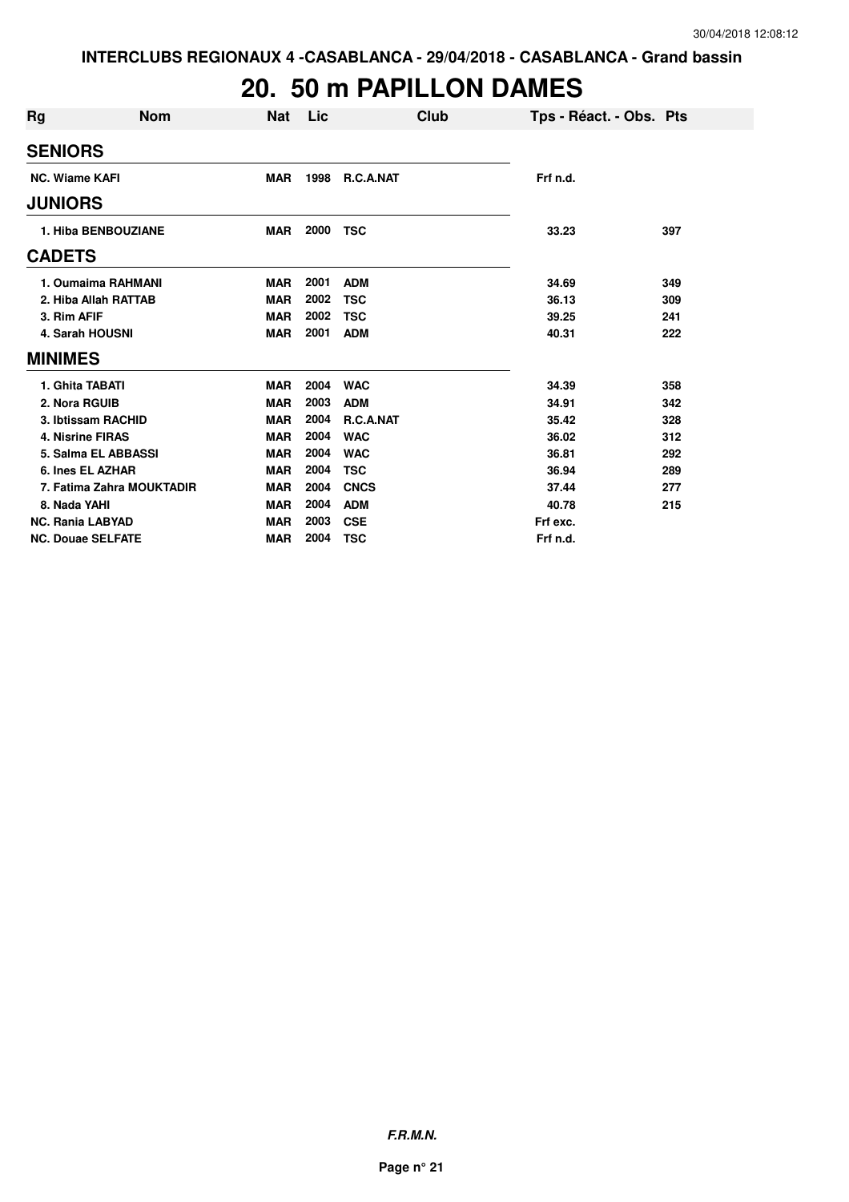### **20. 50 m PAPILLON DAMES**

| <b>Rg</b><br><b>Nom</b>   | <b>Nat</b> | Lic  |             | Club | Tps - Réact. - Obs. Pts |     |
|---------------------------|------------|------|-------------|------|-------------------------|-----|
| <b>SENIORS</b>            |            |      |             |      |                         |     |
| <b>NC. Wiame KAFI</b>     | <b>MAR</b> | 1998 | R.C.A.NAT   |      | Frf n.d.                |     |
| <b>JUNIORS</b>            |            |      |             |      |                         |     |
| 1. Hiba BENBOUZIANE       | <b>MAR</b> | 2000 | <b>TSC</b>  |      | 33.23                   | 397 |
| <b>CADETS</b>             |            |      |             |      |                         |     |
| 1. Oumaima RAHMANI        | <b>MAR</b> | 2001 | <b>ADM</b>  |      | 34.69                   | 349 |
| 2. Hiba Allah RATTAB      | <b>MAR</b> | 2002 | <b>TSC</b>  |      | 36.13                   | 309 |
| 3. Rim AFIF               | <b>MAR</b> | 2002 | <b>TSC</b>  |      | 39.25                   | 241 |
| 4. Sarah HOUSNI           | <b>MAR</b> | 2001 | <b>ADM</b>  |      | 40.31                   | 222 |
| <b>MINIMES</b>            |            |      |             |      |                         |     |
| 1. Ghita TABATI           | <b>MAR</b> | 2004 | <b>WAC</b>  |      | 34.39                   | 358 |
| 2. Nora RGUIB             | <b>MAR</b> | 2003 | <b>ADM</b>  |      | 34.91                   | 342 |
| 3. Ibtissam RACHID        | <b>MAR</b> | 2004 | R.C.A.NAT   |      | 35.42                   | 328 |
| <b>4. Nisrine FIRAS</b>   | <b>MAR</b> | 2004 | <b>WAC</b>  |      | 36.02                   | 312 |
| 5. Salma EL ABBASSI       | <b>MAR</b> | 2004 | <b>WAC</b>  |      | 36.81                   | 292 |
| 6. Ines EL AZHAR          | <b>MAR</b> | 2004 | <b>TSC</b>  |      | 36.94                   | 289 |
| 7. Fatima Zahra MOUKTADIR | <b>MAR</b> | 2004 | <b>CNCS</b> |      | 37.44                   | 277 |
| 8. Nada YAHI              | <b>MAR</b> | 2004 | <b>ADM</b>  |      | 40.78                   | 215 |
| <b>NC. Rania LABYAD</b>   | <b>MAR</b> | 2003 | <b>CSE</b>  |      | Frf exc.                |     |
| <b>NC. Douae SELFATE</b>  | <b>MAR</b> | 2004 | <b>TSC</b>  |      | Frf n.d.                |     |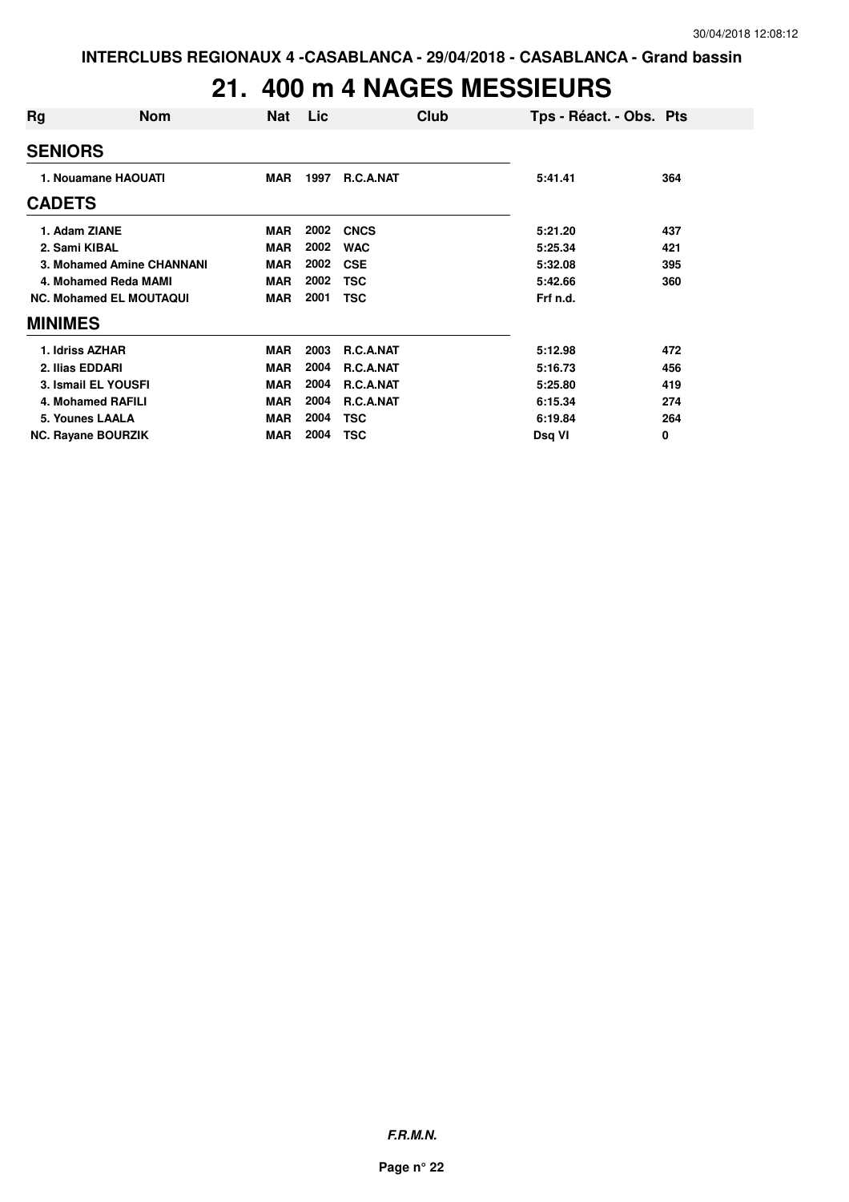### **21. 400 m 4 NAGES MESSIEURS**

| Rg                   | <b>Nom</b>                     | <b>Nat</b> | Lic  | Club             | Tps - Réact. - Obs. Pts |     |
|----------------------|--------------------------------|------------|------|------------------|-------------------------|-----|
| <b>SENIORS</b>       |                                |            |      |                  |                         |     |
|                      | 1. Nouamane HAOUATI            |            | 1997 | <b>R.C.A.NAT</b> | 5:41.41                 | 364 |
| <b>CADETS</b>        |                                |            |      |                  |                         |     |
| 1. Adam ZIANE        |                                | <b>MAR</b> | 2002 | <b>CNCS</b>      | 5:21.20                 | 437 |
| 2. Sami KIBAL        |                                | <b>MAR</b> | 2002 | <b>WAC</b>       | 5:25.34                 | 421 |
|                      | 3. Mohamed Amine CHANNANI      | <b>MAR</b> | 2002 | <b>CSE</b>       | 5:32.08                 | 395 |
| 4. Mohamed Reda MAMI |                                | <b>MAR</b> | 2002 | <b>TSC</b>       | 5:42.66                 | 360 |
|                      | <b>NC. Mohamed EL MOUTAQUI</b> | <b>MAR</b> | 2001 | <b>TSC</b>       | Frf n.d.                |     |
| <b>MINIMES</b>       |                                |            |      |                  |                         |     |
| 1. Idriss AZHAR      |                                | <b>MAR</b> | 2003 | <b>R.C.A.NAT</b> | 5:12.98                 | 472 |
| 2. Ilias EDDARI      |                                | <b>MAR</b> | 2004 | <b>R.C.A.NAT</b> | 5:16.73                 | 456 |
|                      | 3. Ismail EL YOUSFI            | <b>MAR</b> | 2004 | <b>R.C.A.NAT</b> | 5:25.80                 | 419 |
|                      | 4. Mohamed RAFILI              | <b>MAR</b> | 2004 | R.C.A.NAT        | 6:15.34                 | 274 |
|                      | 5. Younes LAALA                | <b>MAR</b> | 2004 | <b>TSC</b>       | 6:19.84                 | 264 |
|                      | <b>NC. Rayane BOURZIK</b>      | <b>MAR</b> | 2004 | <b>TSC</b>       | Dsq VI                  | 0   |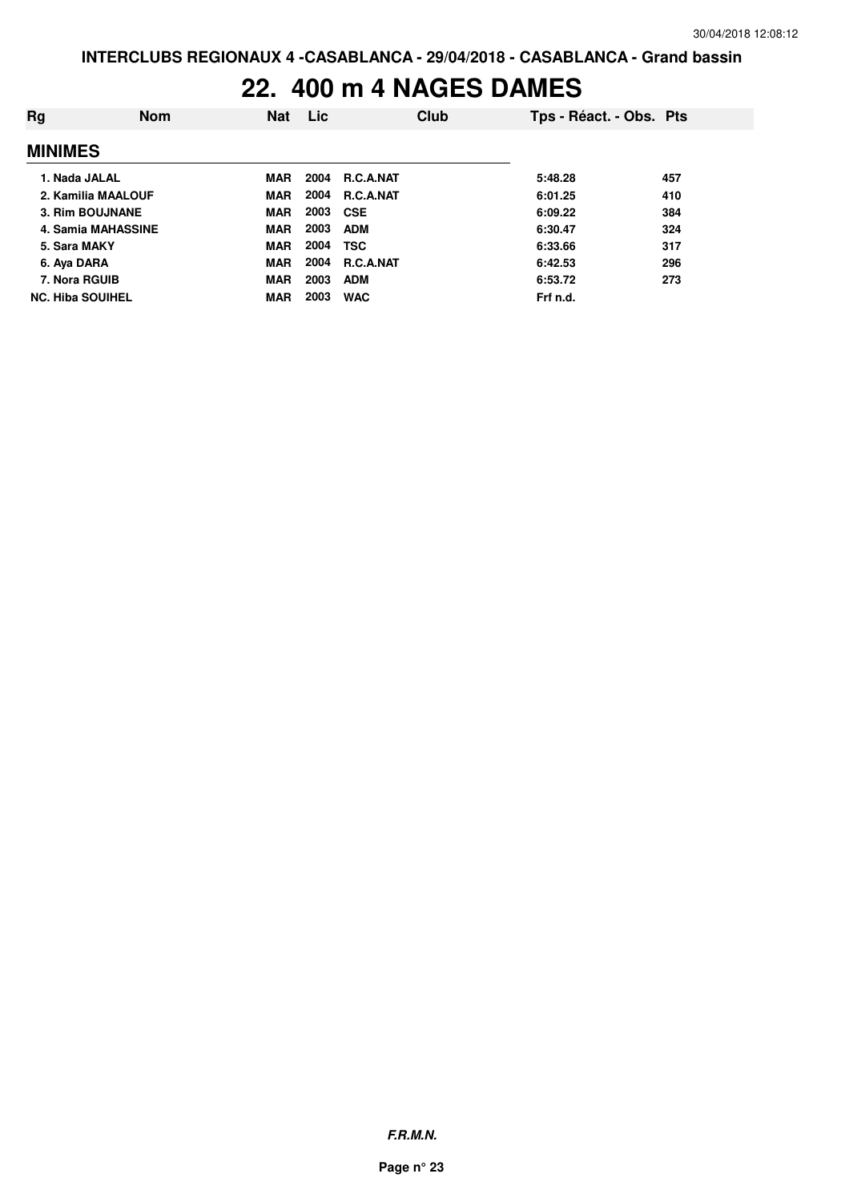#### **22. 400 m 4 NAGES DAMES**

| Rg                      | <b>Nom</b> | <b>Nat</b> | <b>Lic</b> |                  | Club | Tps - Réact. - Obs. Pts |     |
|-------------------------|------------|------------|------------|------------------|------|-------------------------|-----|
| <b>MINIMES</b>          |            |            |            |                  |      |                         |     |
| 1. Nada JALAL           |            | <b>MAR</b> | 2004       | <b>R.C.A.NAT</b> |      | 5:48.28                 | 457 |
| 2. Kamilia MAALOUF      |            | <b>MAR</b> | 2004       | R.C.A.NAT        |      | 6:01.25                 | 410 |
| 3. Rim BOUJNANE         |            | <b>MAR</b> | 2003 CSE   |                  |      | 6:09.22                 | 384 |
| 4. Samia MAHASSINE      |            | <b>MAR</b> | 2003       | <b>ADM</b>       |      | 6:30.47                 | 324 |
| 5. Sara MAKY            |            | <b>MAR</b> | 2004       | <b>TSC</b>       |      | 6:33.66                 | 317 |
| 6. Aya DARA             |            | <b>MAR</b> | 2004       | R.C.A.NAT        |      | 6:42.53                 | 296 |
| 7. Nora RGUIB           |            | <b>MAR</b> | 2003       | <b>ADM</b>       |      | 6:53.72                 | 273 |
| <b>NC. Hiba SOUIHEL</b> |            | <b>MAR</b> | 2003       | <b>WAC</b>       |      | Frf n.d.                |     |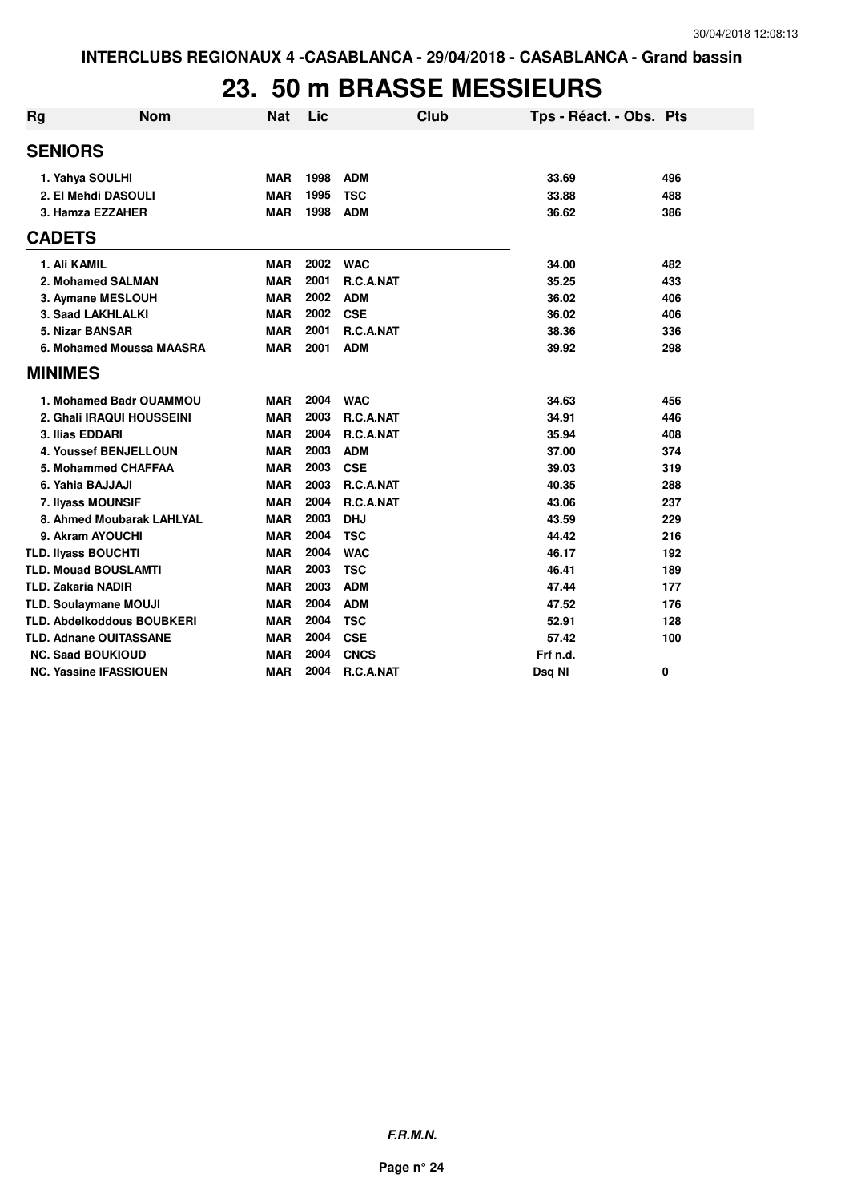#### **23. 50 m BRASSE MESSIEURS**

| <b>Rg</b>     | <b>Nom</b>                        | <b>Nat</b> | Lic  | Club        | Tps - Réact. - Obs. Pts |     |
|---------------|-----------------------------------|------------|------|-------------|-------------------------|-----|
|               | <b>SENIORS</b>                    |            |      |             |                         |     |
|               | 1. Yahya SOULHI                   | <b>MAR</b> | 1998 | <b>ADM</b>  | 33.69                   | 496 |
|               | 2. El Mehdi DASOULI               | <b>MAR</b> | 1995 | <b>TSC</b>  | 33.88                   | 488 |
|               | 3. Hamza EZZAHER                  | <b>MAR</b> | 1998 | <b>ADM</b>  | 36.62                   | 386 |
| <b>CADETS</b> |                                   |            |      |             |                         |     |
|               | 1. Ali KAMIL                      | <b>MAR</b> | 2002 | <b>WAC</b>  | 34.00                   | 482 |
|               | 2. Mohamed SALMAN                 | <b>MAR</b> | 2001 | R.C.A.NAT   | 35.25                   | 433 |
|               | 3. Aymane MESLOUH                 | <b>MAR</b> | 2002 | <b>ADM</b>  | 36.02                   | 406 |
|               | 3. Saad LAKHLALKI                 | <b>MAR</b> | 2002 | <b>CSE</b>  | 36.02                   | 406 |
|               | 5. Nizar BANSAR                   | <b>MAR</b> | 2001 | R.C.A.NAT   | 38.36                   | 336 |
|               | 6. Mohamed Moussa MAASRA          | <b>MAR</b> | 2001 | <b>ADM</b>  | 39.92                   | 298 |
|               | <b>MINIMES</b>                    |            |      |             |                         |     |
|               | 1. Mohamed Badr OUAMMOU           | <b>MAR</b> | 2004 | <b>WAC</b>  | 34.63                   | 456 |
|               | 2. Ghali IRAQUI HOUSSEINI         | <b>MAR</b> | 2003 | R.C.A.NAT   | 34.91                   | 446 |
|               | 3. Ilias EDDARI                   | <b>MAR</b> | 2004 | R.C.A.NAT   | 35.94                   | 408 |
|               | <b>4. Youssef BENJELLOUN</b>      | <b>MAR</b> | 2003 | <b>ADM</b>  | 37.00                   | 374 |
|               | 5. Mohammed CHAFFAA               | <b>MAR</b> | 2003 | <b>CSE</b>  | 39.03                   | 319 |
|               | 6. Yahia BAJJAJI                  | <b>MAR</b> | 2003 | R.C.A.NAT   | 40.35                   | 288 |
|               | 7. Ilyass MOUNSIF                 | <b>MAR</b> | 2004 | R.C.A.NAT   | 43.06                   | 237 |
|               | 8. Ahmed Moubarak LAHLYAL         | <b>MAR</b> | 2003 | <b>DHJ</b>  | 43.59                   | 229 |
|               | 9. Akram AYOUCHI                  | <b>MAR</b> | 2004 | <b>TSC</b>  | 44.42                   | 216 |
|               | <b>TLD. Ilyass BOUCHTI</b>        | <b>MAR</b> | 2004 | <b>WAC</b>  | 46.17                   | 192 |
|               | <b>TLD. Mouad BOUSLAMTI</b>       | <b>MAR</b> | 2003 | <b>TSC</b>  | 46.41                   | 189 |
|               | <b>TLD. Zakaria NADIR</b>         | <b>MAR</b> | 2003 | <b>ADM</b>  | 47.44                   | 177 |
|               | <b>TLD. Soulaymane MOUJI</b>      | <b>MAR</b> | 2004 | <b>ADM</b>  | 47.52                   | 176 |
|               | <b>TLD. Abdelkoddous BOUBKERI</b> | <b>MAR</b> | 2004 | <b>TSC</b>  | 52.91                   | 128 |
|               | <b>TLD. Adnane OUITASSANE</b>     | <b>MAR</b> | 2004 | <b>CSE</b>  | 57.42                   | 100 |
|               | <b>NC. Saad BOUKIOUD</b>          | <b>MAR</b> | 2004 | <b>CNCS</b> | Frf n.d.                |     |
|               | <b>NC. Yassine IFASSIOUEN</b>     | <b>MAR</b> | 2004 | R.C.A.NAT   | Dsq NI                  | 0   |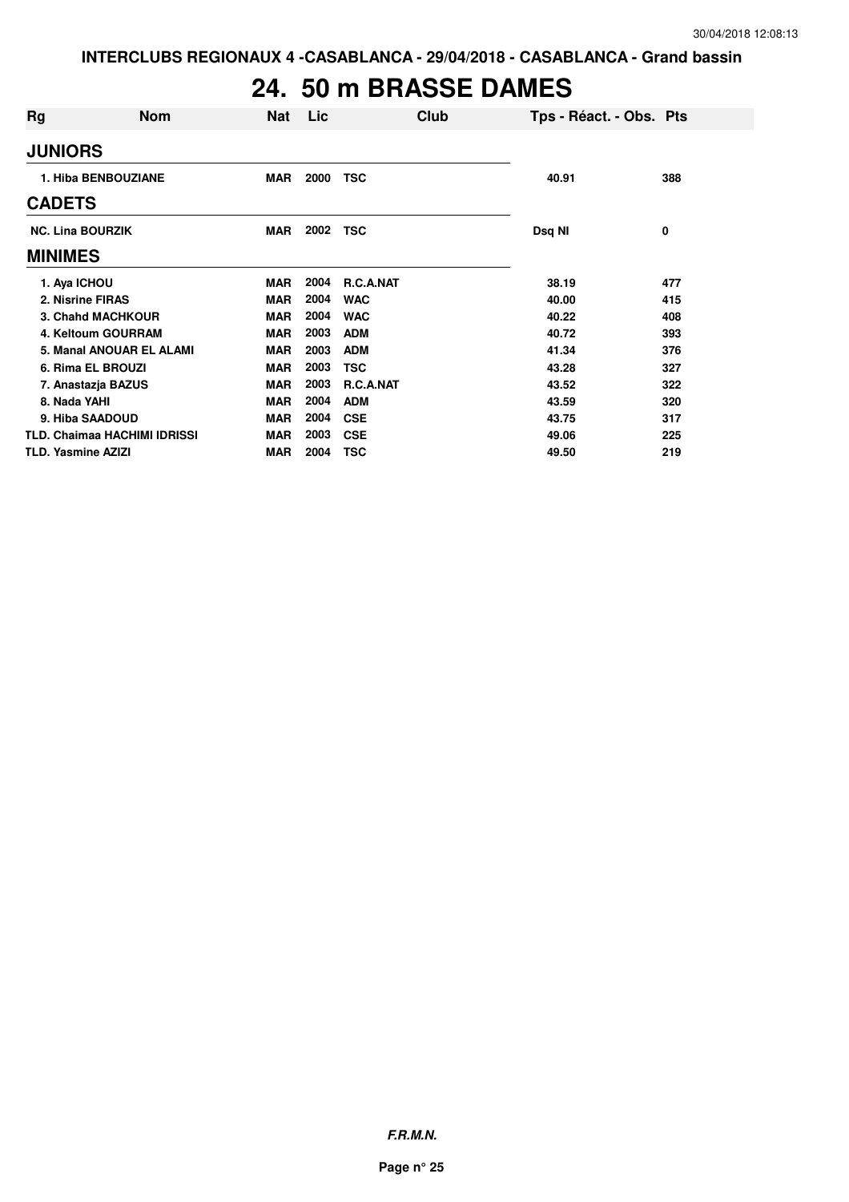### **24. 50 m BRASSE DAMES**

| Rg                                  | <b>Nom</b> | <b>Nat</b> | Lic  |                  | Club | Tps - Réact. - Obs. Pts |     |
|-------------------------------------|------------|------------|------|------------------|------|-------------------------|-----|
| <b>JUNIORS</b>                      |            |            |      |                  |      |                         |     |
| 1. Hiba BENBOUZIANE                 |            | <b>MAR</b> | 2000 | <b>TSC</b>       |      | 40.91                   | 388 |
| <b>CADETS</b>                       |            |            |      |                  |      |                         |     |
| <b>NC. Lina BOURZIK</b>             |            | <b>MAR</b> | 2002 | <b>TSC</b>       |      | Dsq NI                  | 0   |
| <b>MINIMES</b>                      |            |            |      |                  |      |                         |     |
| 1. Aya ICHOU                        |            | <b>MAR</b> | 2004 | <b>R.C.A.NAT</b> |      | 38.19                   | 477 |
| 2. Nisrine FIRAS                    |            | <b>MAR</b> | 2004 | <b>WAC</b>       |      | 40.00                   | 415 |
| <b>3. Chahd MACHKOUR</b>            |            | <b>MAR</b> | 2004 | <b>WAC</b>       |      | 40.22                   | 408 |
| 4. Keltoum GOURRAM                  |            | <b>MAR</b> | 2003 | <b>ADM</b>       |      | 40.72                   | 393 |
| 5. Manal ANOUAR EL ALAMI            |            | <b>MAR</b> | 2003 | <b>ADM</b>       |      | 41.34                   | 376 |
| 6. Rima EL BROUZI                   |            | <b>MAR</b> | 2003 | <b>TSC</b>       |      | 43.28                   | 327 |
| 7. Anastazja BAZUS                  |            | <b>MAR</b> | 2003 | R.C.A.NAT        |      | 43.52                   | 322 |
| 8. Nada YAHI                        |            | <b>MAR</b> | 2004 | <b>ADM</b>       |      | 43.59                   | 320 |
| 9. Hiba SAADOUD                     |            | <b>MAR</b> | 2004 | <b>CSE</b>       |      | 43.75                   | 317 |
| <b>TLD. Chaimaa HACHIMI IDRISSI</b> |            | <b>MAR</b> | 2003 | <b>CSE</b>       |      | 49.06                   | 225 |
| <b>TLD. Yasmine AZIZI</b>           |            | <b>MAR</b> | 2004 | <b>TSC</b>       |      | 49.50                   | 219 |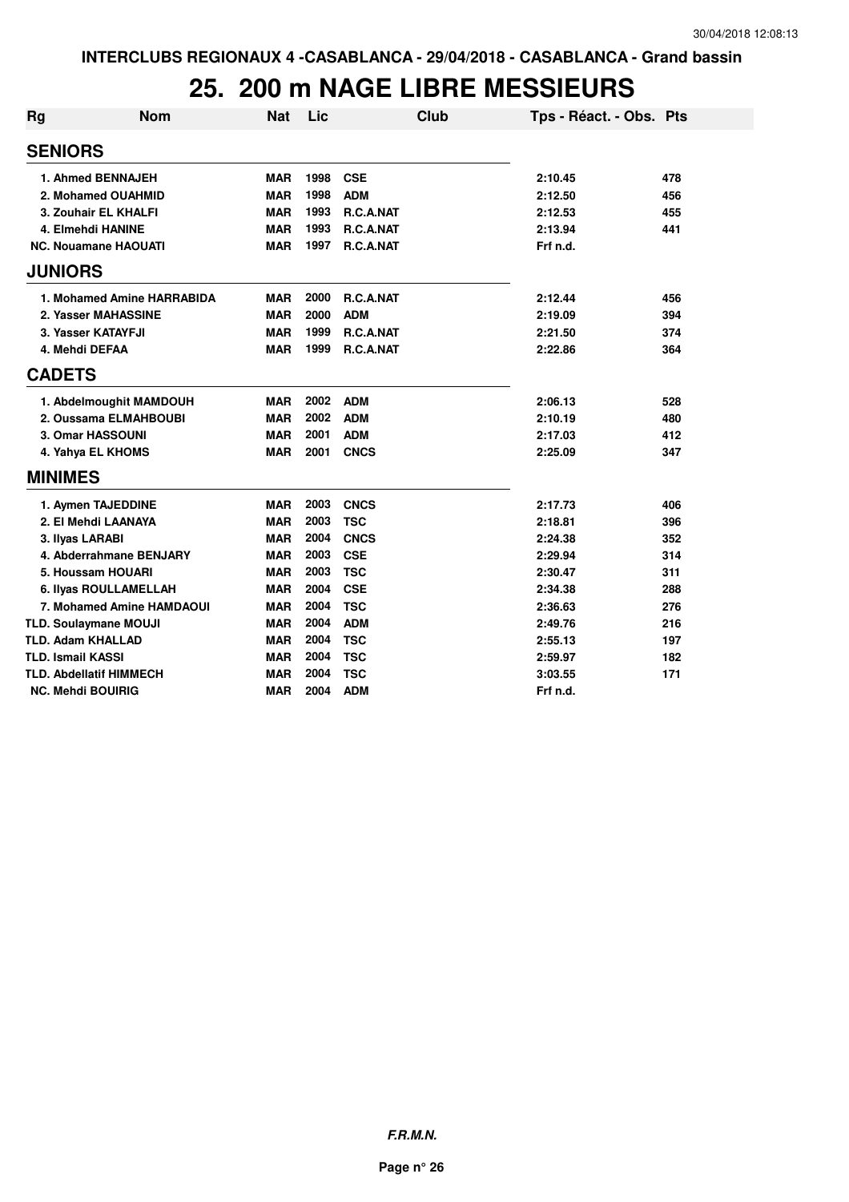### **25. 200 m NAGE LIBRE MESSIEURS**

| <b>Rg</b> | <b>Nom</b>                     | Nat        | Lic  | Club             | Tps - Réact. - Obs. Pts |     |
|-----------|--------------------------------|------------|------|------------------|-------------------------|-----|
|           | <b>SENIORS</b>                 |            |      |                  |                         |     |
|           | 1. Ahmed BENNAJEH              | <b>MAR</b> | 1998 | <b>CSE</b>       | 2:10.45                 | 478 |
|           | 2. Mohamed OUAHMID             | <b>MAR</b> | 1998 | <b>ADM</b>       | 2:12.50                 | 456 |
|           | 3. Zouhair EL KHALFI           | <b>MAR</b> | 1993 | R.C.A.NAT        | 2:12.53                 | 455 |
|           | 4. Elmehdi HANINE              | <b>MAR</b> | 1993 | R.C.A.NAT        | 2:13.94                 | 441 |
|           | <b>NC. Nouamane HAOUATI</b>    | <b>MAR</b> | 1997 | R.C.A.NAT        | Frf n.d.                |     |
|           | <b>JUNIORS</b>                 |            |      |                  |                         |     |
|           | 1. Mohamed Amine HARRABIDA     | MAR        | 2000 | <b>R.C.A.NAT</b> | 2:12.44                 | 456 |
|           | 2. Yasser MAHASSINE            | <b>MAR</b> | 2000 | <b>ADM</b>       | 2:19.09                 | 394 |
|           | 3. Yasser KATAYFJI             | <b>MAR</b> | 1999 | R.C.A.NAT        | 2:21.50                 | 374 |
|           | 4. Mehdi DEFAA                 | <b>MAR</b> | 1999 | R.C.A.NAT        | 2:22.86                 | 364 |
|           | <b>CADETS</b>                  |            |      |                  |                         |     |
|           | 1. Abdelmoughit MAMDOUH        | <b>MAR</b> | 2002 | <b>ADM</b>       | 2:06.13                 | 528 |
|           | 2. Oussama ELMAHBOUBI          | <b>MAR</b> | 2002 | <b>ADM</b>       | 2:10.19                 | 480 |
|           | 3. Omar HASSOUNI               | <b>MAR</b> | 2001 | <b>ADM</b>       | 2:17.03                 | 412 |
|           | 4. Yahya EL KHOMS              | <b>MAR</b> | 2001 | <b>CNCS</b>      | 2:25.09                 | 347 |
|           | <b>MINIMES</b>                 |            |      |                  |                         |     |
|           | 1. Aymen TAJEDDINE             | <b>MAR</b> | 2003 | <b>CNCS</b>      | 2:17.73                 | 406 |
|           | 2. El Mehdi LAANAYA            | <b>MAR</b> | 2003 | <b>TSC</b>       | 2:18.81                 | 396 |
|           | 3. Ilyas LARABI                | <b>MAR</b> | 2004 | <b>CNCS</b>      | 2:24.38                 | 352 |
|           | 4. Abderrahmane BENJARY        | <b>MAR</b> | 2003 | <b>CSE</b>       | 2:29.94                 | 314 |
|           | 5. Houssam HOUARI              | <b>MAR</b> | 2003 | <b>TSC</b>       | 2:30.47                 | 311 |
|           | 6. Ilyas ROULLAMELLAH          | <b>MAR</b> | 2004 | <b>CSE</b>       | 2:34.38                 | 288 |
|           | 7. Mohamed Amine HAMDAOUI      | <b>MAR</b> | 2004 | <b>TSC</b>       | 2:36.63                 | 276 |
|           | <b>TLD. Soulaymane MOUJI</b>   | <b>MAR</b> | 2004 | <b>ADM</b>       | 2:49.76                 | 216 |
|           | <b>TLD. Adam KHALLAD</b>       | <b>MAR</b> | 2004 | <b>TSC</b>       | 2:55.13                 | 197 |
|           | <b>TLD. Ismail KASSI</b>       | <b>MAR</b> | 2004 | <b>TSC</b>       | 2:59.97                 | 182 |
|           | <b>TLD. Abdellatif HIMMECH</b> | <b>MAR</b> | 2004 | <b>TSC</b>       | 3:03.55                 | 171 |
|           | <b>NC. Mehdi BOUIRIG</b>       | <b>MAR</b> | 2004 | <b>ADM</b>       | Frf n.d.                |     |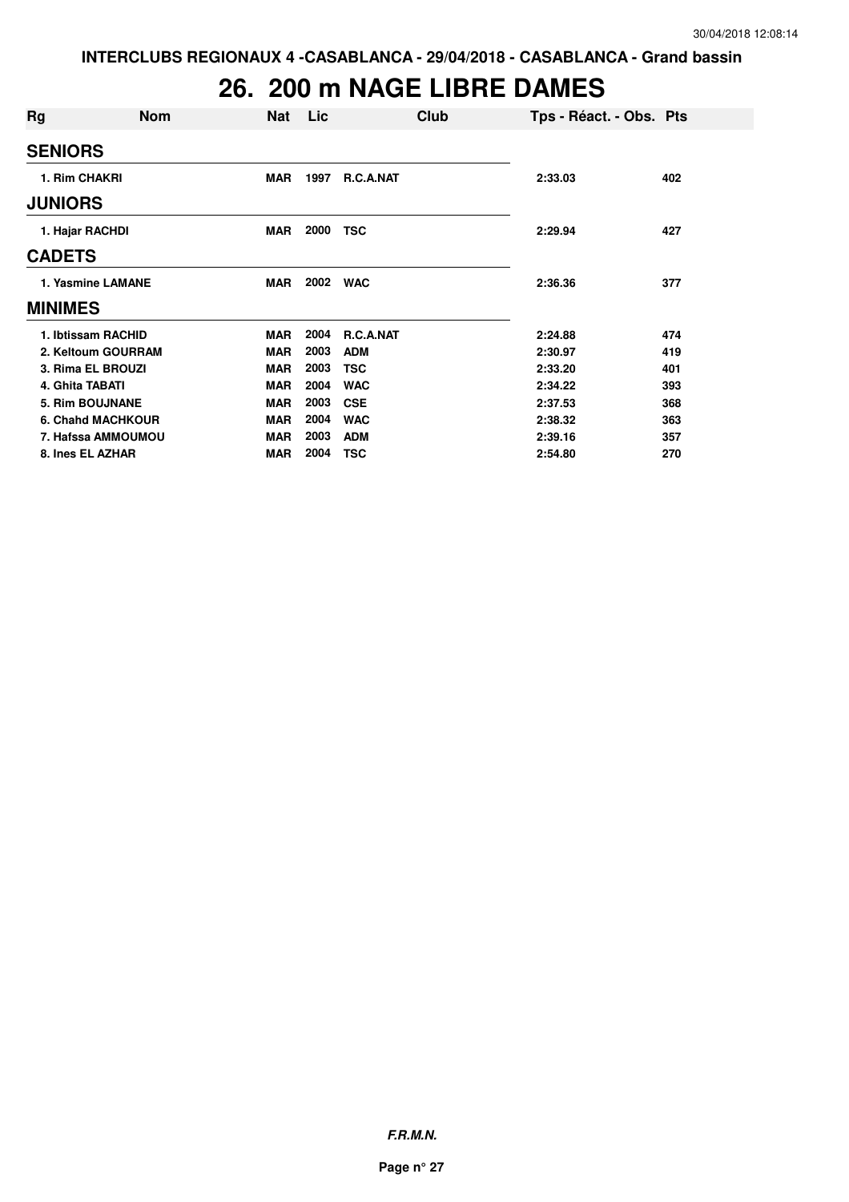### **26. 200 m NAGE LIBRE DAMES**

| Rg                       | <b>Nom</b>         | <b>Nat</b> | Lic  | Club       | Tps - Réact. - Obs. Pts |     |
|--------------------------|--------------------|------------|------|------------|-------------------------|-----|
| <b>SENIORS</b>           |                    |            |      |            |                         |     |
| 1. Rim CHAKRI            |                    | <b>MAR</b> | 1997 | R.C.A.NAT  | 2:33.03                 | 402 |
| <b>JUNIORS</b>           |                    |            |      |            |                         |     |
| 1. Hajar RACHDI          |                    | <b>MAR</b> | 2000 | <b>TSC</b> | 2:29.94                 | 427 |
| <b>CADETS</b>            |                    |            |      |            |                         |     |
| 1. Yasmine LAMANE        |                    | MAR        | 2002 | <b>WAC</b> | 2:36.36                 | 377 |
| <b>MINIMES</b>           |                    |            |      |            |                         |     |
| 1. Ibtissam RACHID       |                    | <b>MAR</b> | 2004 | R.C.A.NAT  | 2:24.88                 | 474 |
|                          | 2. Keltoum GOURRAM | <b>MAR</b> | 2003 | <b>ADM</b> | 2:30.97                 | 419 |
| 3. Rima EL BROUZI        |                    | <b>MAR</b> | 2003 | <b>TSC</b> | 2:33.20                 | 401 |
| 4. Ghita TABATI          |                    | <b>MAR</b> | 2004 | <b>WAC</b> | 2:34.22                 | 393 |
| 5. Rim BOUJNANE          |                    | <b>MAR</b> | 2003 | <b>CSE</b> | 2:37.53                 | 368 |
| <b>6. Chand MACHKOUR</b> |                    | <b>MAR</b> | 2004 | <b>WAC</b> | 2:38.32                 | 363 |
|                          | 7. Hafssa AMMOUMOU | <b>MAR</b> | 2003 | <b>ADM</b> | 2:39.16                 | 357 |
| 8. Ines EL AZHAR         |                    | <b>MAR</b> | 2004 | <b>TSC</b> | 2:54.80                 | 270 |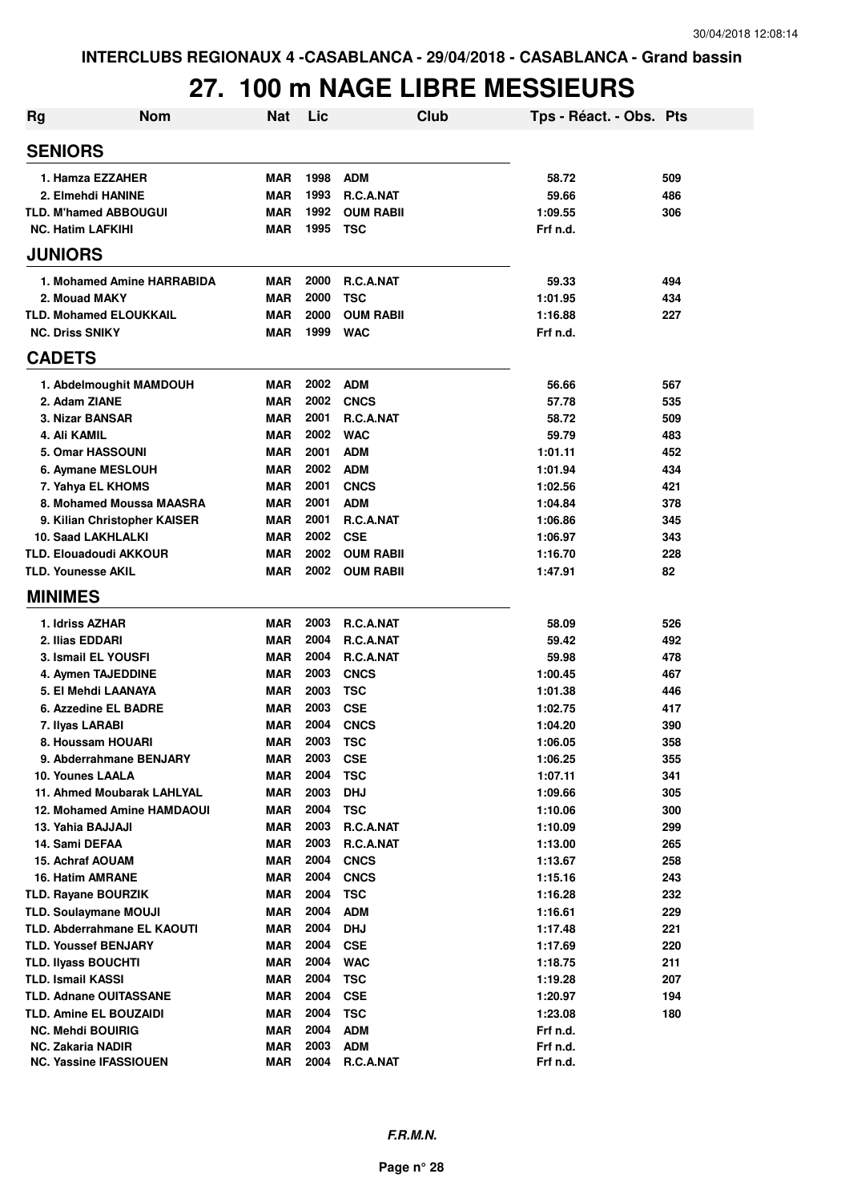### **27. 100 m NAGE LIBRE MESSIEURS**

| <b>Rg</b> | <b>Nom</b>                                         | <b>Nat</b>               | Lic          |                         | Club | Tps - Réact. - Obs. Pts |     |
|-----------|----------------------------------------------------|--------------------------|--------------|-------------------------|------|-------------------------|-----|
|           | <b>SENIORS</b>                                     |                          |              |                         |      |                         |     |
|           | 1. Hamza EZZAHER                                   | <b>MAR</b>               | 1998         | <b>ADM</b>              |      | 58.72                   | 509 |
|           | 2. Elmehdi HANINE                                  | <b>MAR</b>               | 1993         | R.C.A.NAT               |      | 59.66                   | 486 |
|           | <b>TLD. M'hamed ABBOUGUI</b>                       | <b>MAR</b>               | 1992         | <b>OUM RABII</b>        |      | 1:09.55                 | 306 |
|           | <b>NC. Hatim LAFKIHI</b>                           | <b>MAR</b>               | 1995         | <b>TSC</b>              |      | Frf n.d.                |     |
|           | <b>JUNIORS</b>                                     |                          |              |                         |      |                         |     |
|           | 1. Mohamed Amine HARRABIDA                         | <b>MAR</b>               | 2000         | R.C.A.NAT               |      | 59.33                   | 494 |
|           | 2. Mouad MAKY                                      | <b>MAR</b>               | 2000         | <b>TSC</b>              |      | 1:01.95                 | 434 |
|           | <b>TLD. Mohamed ELOUKKAIL</b>                      | <b>MAR</b>               | 2000         | <b>OUM RABII</b>        |      | 1:16.88                 | 227 |
|           | <b>NC. Driss SNIKY</b>                             | <b>MAR</b>               | 1999         | <b>WAC</b>              |      | Frf n.d.                |     |
|           | <b>CADETS</b>                                      |                          |              |                         |      |                         |     |
|           | 1. Abdelmoughit MAMDOUH                            | <b>MAR</b>               | 2002         | <b>ADM</b>              |      | 56.66                   | 567 |
|           | 2. Adam ZIANE                                      | <b>MAR</b>               | 2002         | <b>CNCS</b>             |      | 57.78                   | 535 |
|           | 3. Nizar BANSAR                                    | <b>MAR</b>               | 2001         | R.C.A.NAT               |      | 58.72                   | 509 |
|           | 4. Ali KAMIL                                       | <b>MAR</b>               | 2002         | <b>WAC</b>              |      | 59.79                   | 483 |
|           | 5. Omar HASSOUNI                                   | <b>MAR</b>               | 2001         | <b>ADM</b>              |      | 1:01.11                 | 452 |
|           | 6. Aymane MESLOUH                                  | <b>MAR</b>               | 2002         | <b>ADM</b>              |      | 1:01.94                 | 434 |
|           | 7. Yahya EL KHOMS                                  | <b>MAR</b>               | 2001         | <b>CNCS</b>             |      | 1:02.56                 | 421 |
|           | 8. Mohamed Moussa MAASRA                           | <b>MAR</b>               | 2001         | <b>ADM</b>              |      | 1:04.84                 | 378 |
|           | 9. Kilian Christopher KAISER                       | <b>MAR</b>               | 2001         | <b>R.C.A.NAT</b>        |      | 1:06.86                 | 345 |
|           | <b>10. Saad LAKHLALKI</b>                          | <b>MAR</b>               | 2002         | <b>CSE</b>              |      | 1:06.97                 | 343 |
|           | <b>TLD. Elouadoudi AKKOUR</b>                      | <b>MAR</b>               | 2002         | <b>OUM RABIL</b>        |      | 1:16.70                 | 228 |
|           | <b>TLD. Younesse AKIL</b>                          | <b>MAR</b>               | 2002         | <b>OUM RABII</b>        |      | 1:47.91                 | 82  |
|           | <b>MINIMES</b>                                     |                          |              |                         |      |                         |     |
|           | 1. Idriss AZHAR                                    | <b>MAR</b>               | 2003         | R.C.A.NAT               |      | 58.09                   | 526 |
|           | 2. Ilias EDDARI                                    | <b>MAR</b>               | 2004         | R.C.A.NAT               |      | 59.42                   | 492 |
|           | 3. Ismail EL YOUSFI                                | <b>MAR</b>               | 2004         | R.C.A.NAT               |      | 59.98                   | 478 |
|           | 4. Aymen TAJEDDINE                                 | <b>MAR</b>               | 2003         | <b>CNCS</b>             |      | 1:00.45                 | 467 |
|           | 5. El Mehdi LAANAYA                                | <b>MAR</b>               | 2003         | <b>TSC</b>              |      | 1:01.38                 | 446 |
|           | 6. Azzedine EL BADRE                               | MAR                      | 2003         | <b>CSE</b>              |      | 1:02.75                 | 417 |
|           | 7. Ilyas LARABI                                    | <b>MAR</b>               | 2004         | <b>CNCS</b>             |      | 1:04.20                 | 390 |
|           | 8. Houssam HOUARI                                  | <b>MAR</b>               | 2003         | <b>TSC</b>              |      | 1:06.05                 | 358 |
|           | 9. Abderrahmane BENJARY                            | MAR                      | 2003         | <b>CSE</b>              |      | 1:06.25                 | 355 |
|           | 10. Younes LAALA                                   | <b>MAR</b>               | 2004         | <b>TSC</b>              |      | 1:07.11                 | 341 |
|           | 11. Ahmed Moubarak LAHLYAL                         | <b>MAR</b>               | 2003         | <b>DHJ</b>              |      | 1:09.66                 | 305 |
|           | <b>12. Mohamed Amine HAMDAOUI</b>                  | <b>MAR</b>               | 2004         | <b>TSC</b>              |      | 1:10.06                 | 300 |
|           | 13. Yahia BAJJAJI                                  | <b>MAR</b>               | 2003         | R.C.A.NAT               |      | 1:10.09                 | 299 |
|           | 14. Sami DEFAA                                     | <b>MAR</b>               | 2003         | R.C.A.NAT               |      | 1:13.00                 | 265 |
|           | 15. Achraf AOUAM                                   | <b>MAR</b>               | 2004         | <b>CNCS</b>             |      | 1:13.67                 | 258 |
|           | <b>16. Hatim AMRANE</b>                            | MAR                      | 2004         | <b>CNCS</b>             |      | 1:15.16                 | 243 |
|           | <b>TLD. Rayane BOURZIK</b>                         | MAR                      | 2004         | <b>TSC</b>              |      | 1:16.28                 | 232 |
|           | <b>TLD. Soulaymane MOUJI</b>                       | MAR                      | 2004         | <b>ADM</b>              |      | 1:16.61                 | 229 |
|           | TLD. Abderrahmane EL KAOUTI                        | <b>MAR</b>               | 2004         | <b>DHJ</b>              |      | 1:17.48                 | 221 |
|           | <b>TLD. Youssef BENJARY</b>                        | <b>MAR</b>               | 2004         | <b>CSE</b>              |      | 1:17.69                 | 220 |
|           | <b>TLD. Ilyass BOUCHTI</b>                         | <b>MAR</b>               | 2004         | <b>WAC</b>              |      | 1:18.75                 | 211 |
|           | <b>TLD. Ismail KASSI</b>                           | <b>MAR</b>               | 2004         | <b>TSC</b>              |      | 1:19.28                 | 207 |
|           | <b>TLD. Adnane OUITASSANE</b>                      | <b>MAR</b>               | 2004         | <b>CSE</b>              |      | 1:20.97                 | 194 |
|           | <b>TLD. Amine EL BOUZAIDI</b>                      | <b>MAR</b>               | 2004         | <b>TSC</b>              |      | 1:23.08                 | 180 |
|           | <b>NC. Mehdi BOUIRIG</b>                           | <b>MAR</b>               | 2004         | <b>ADM</b>              |      | Frf n.d.                |     |
|           | NC. Zakaria NADIR<br><b>NC. Yassine IFASSIOUEN</b> | <b>MAR</b><br><b>MAR</b> | 2003<br>2004 | <b>ADM</b><br>R.C.A.NAT |      | Frf n.d.<br>Frf n.d.    |     |
|           |                                                    |                          |              |                         |      |                         |     |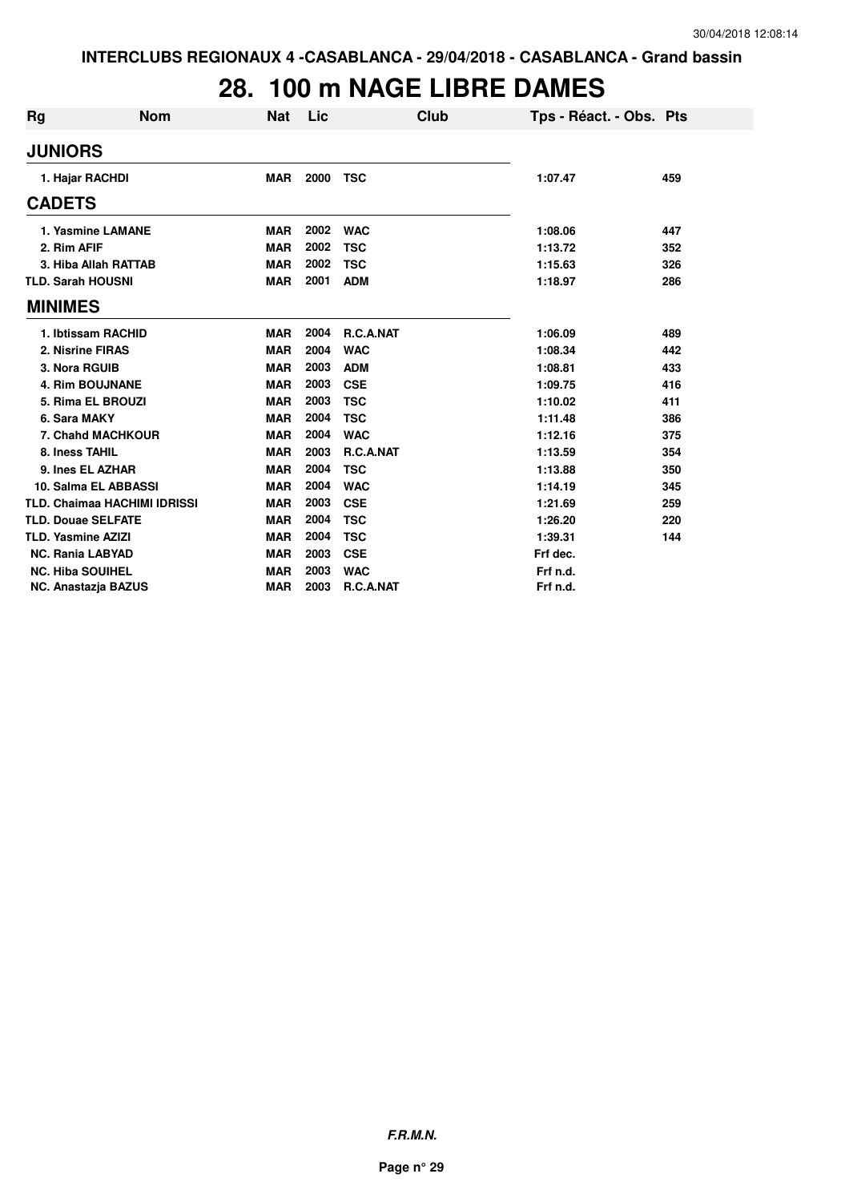### **28. 100 m NAGE LIBRE DAMES**

| Rg                                  | <b>Nom</b> | <b>Nat</b> | Lic  | Club       | Tps - Réact. - Obs. Pts |     |
|-------------------------------------|------------|------------|------|------------|-------------------------|-----|
| <b>JUNIORS</b>                      |            |            |      |            |                         |     |
| 1. Hajar RACHDI                     |            | <b>MAR</b> | 2000 | <b>TSC</b> | 1:07.47                 | 459 |
| <b>CADETS</b>                       |            |            |      |            |                         |     |
| 1. Yasmine LAMANE                   |            | <b>MAR</b> | 2002 | <b>WAC</b> | 1:08.06                 | 447 |
| 2. Rim AFIF                         |            | <b>MAR</b> | 2002 | <b>TSC</b> | 1:13.72                 | 352 |
| 3. Hiba Allah RATTAB                |            | <b>MAR</b> | 2002 | <b>TSC</b> | 1:15.63                 | 326 |
| <b>TLD. Sarah HOUSNI</b>            |            | <b>MAR</b> | 2001 | <b>ADM</b> | 1:18.97                 | 286 |
| <b>MINIMES</b>                      |            |            |      |            |                         |     |
| 1. Ibtissam RACHID                  |            | <b>MAR</b> | 2004 | R.C.A.NAT  | 1:06.09                 | 489 |
| 2. Nisrine FIRAS                    |            | <b>MAR</b> | 2004 | <b>WAC</b> | 1:08.34                 | 442 |
| 3. Nora RGUIB                       |            | <b>MAR</b> | 2003 | <b>ADM</b> | 1:08.81                 | 433 |
| <b>4. Rim BOUJNANE</b>              |            | <b>MAR</b> | 2003 | <b>CSE</b> | 1:09.75                 | 416 |
| 5. Rima EL BROUZI                   |            | <b>MAR</b> | 2003 | <b>TSC</b> | 1:10.02                 | 411 |
| 6. Sara MAKY                        |            | <b>MAR</b> | 2004 | <b>TSC</b> | 1:11.48                 | 386 |
| 7. Chahd MACHKOUR                   |            | <b>MAR</b> | 2004 | <b>WAC</b> | 1:12.16                 | 375 |
| 8. Iness TAHIL                      |            | <b>MAR</b> | 2003 | R.C.A.NAT  | 1:13.59                 | 354 |
| 9. Ines EL AZHAR                    |            | <b>MAR</b> | 2004 | <b>TSC</b> | 1:13.88                 | 350 |
| 10. Salma EL ABBASSI                |            | <b>MAR</b> | 2004 | <b>WAC</b> | 1:14.19                 | 345 |
| <b>TLD. Chaimaa HACHIMI IDRISSI</b> |            | <b>MAR</b> | 2003 | <b>CSE</b> | 1:21.69                 | 259 |
| <b>TLD. Douae SELFATE</b>           |            | <b>MAR</b> | 2004 | <b>TSC</b> | 1:26.20                 | 220 |
| <b>TLD. Yasmine AZIZI</b>           |            | <b>MAR</b> | 2004 | <b>TSC</b> | 1:39.31                 | 144 |
| <b>NC. Rania LABYAD</b>             |            | <b>MAR</b> | 2003 | <b>CSE</b> | Frf dec.                |     |
| <b>NC. Hiba SOUIHEL</b>             |            | <b>MAR</b> | 2003 | <b>WAC</b> | Frf n.d.                |     |
| <b>NC. Anastazja BAZUS</b>          |            | <b>MAR</b> | 2003 | R.C.A.NAT  | Frf n.d.                |     |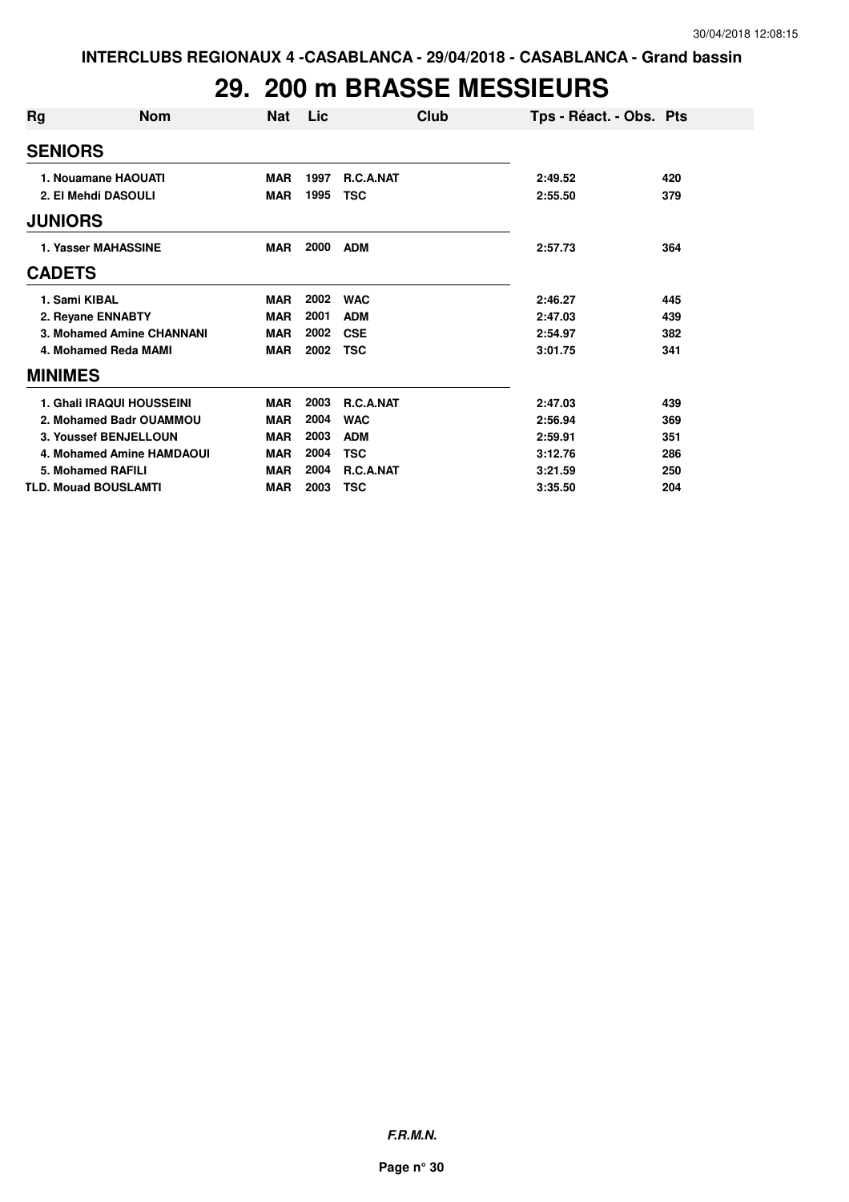### **29. 200 m BRASSE MESSIEURS**

| Rg | <b>Nom</b>                  | <b>Nat</b> | Lic  | Club             | Tps - Réact. - Obs. Pts |     |
|----|-----------------------------|------------|------|------------------|-------------------------|-----|
|    | <b>SENIORS</b>              |            |      |                  |                         |     |
|    | 1. Nouamane HAOUATI         | <b>MAR</b> | 1997 | <b>R.C.A.NAT</b> | 2:49.52                 | 420 |
|    | 2. El Mehdi DASOULI         | <b>MAR</b> | 1995 | <b>TSC</b>       | 2:55.50                 | 379 |
|    | <b>JUNIORS</b>              |            |      |                  |                         |     |
|    | 1. Yasser MAHASSINE         | <b>MAR</b> | 2000 | <b>ADM</b>       | 2:57.73                 | 364 |
|    | <b>CADETS</b>               |            |      |                  |                         |     |
|    | 1. Sami KIBAL               | <b>MAR</b> | 2002 | <b>WAC</b>       | 2:46.27                 | 445 |
|    | 2. Reyane ENNABTY           | <b>MAR</b> | 2001 | <b>ADM</b>       | 2:47.03                 | 439 |
|    | 3. Mohamed Amine CHANNANI   | <b>MAR</b> | 2002 | <b>CSE</b>       | 2:54.97                 | 382 |
|    | 4. Mohamed Reda MAMI        | <b>MAR</b> | 2002 | <b>TSC</b>       | 3:01.75                 | 341 |
|    | <b>MINIMES</b>              |            |      |                  |                         |     |
|    | 1. Ghali IRAQUI HOUSSEINI   | <b>MAR</b> | 2003 | R.C.A.NAT        | 2:47.03                 | 439 |
|    | 2. Mohamed Badr OUAMMOU     | <b>MAR</b> | 2004 | <b>WAC</b>       | 2:56.94                 | 369 |
|    | 3. Youssef BENJELLOUN       | <b>MAR</b> | 2003 | <b>ADM</b>       | 2:59.91                 | 351 |
|    | 4. Mohamed Amine HAMDAOUI   | <b>MAR</b> | 2004 | <b>TSC</b>       | 3:12.76                 | 286 |
|    | 5. Mohamed RAFILI           | <b>MAR</b> | 2004 | R.C.A.NAT        | 3:21.59                 | 250 |
|    | <b>TLD. Mouad BOUSLAMTI</b> | <b>MAR</b> | 2003 | <b>TSC</b>       | 3:35.50                 | 204 |

**F.R.M.N.**

**Page n° 30**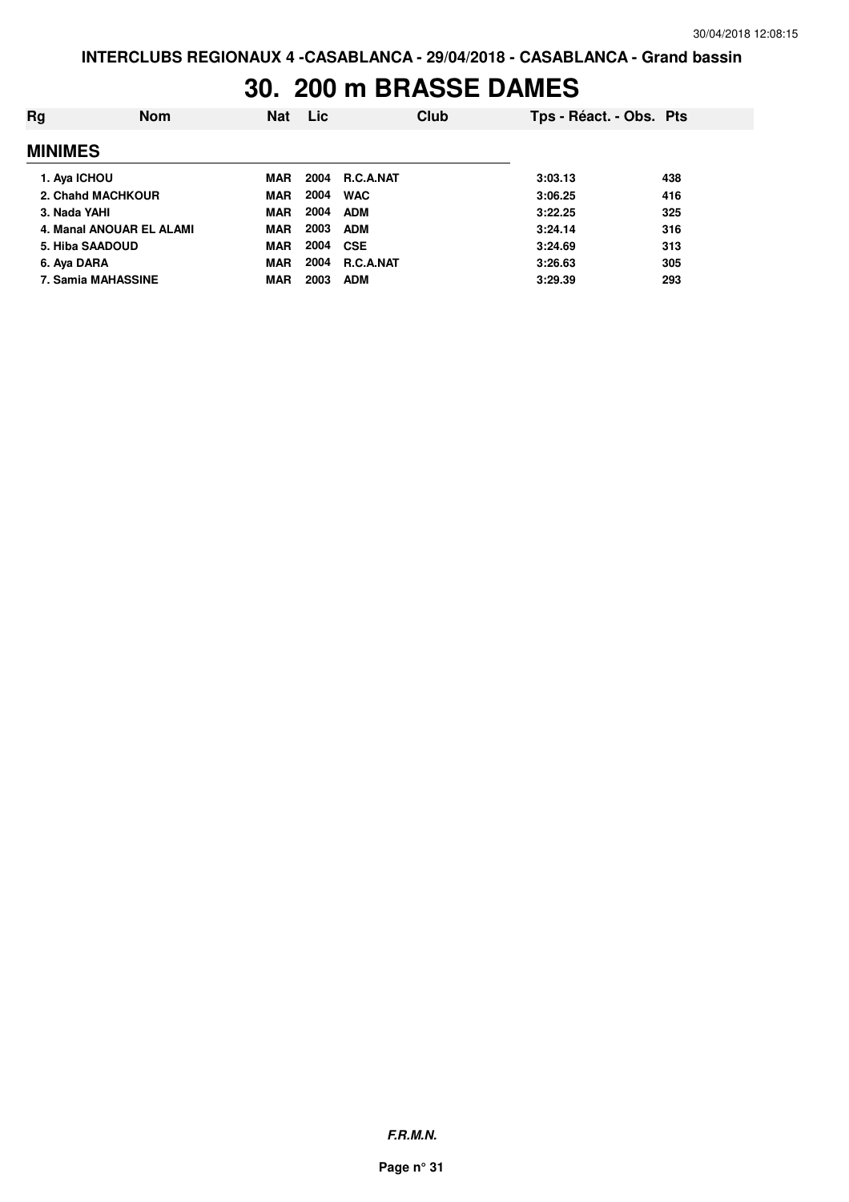#### **30. 200 m BRASSE DAMES**

| Rg             | <b>Nom</b>               | <b>Nat</b> | <b>Lic</b> | Club             | Tps - Réact. - Obs. Pts |     |
|----------------|--------------------------|------------|------------|------------------|-------------------------|-----|
| <b>MINIMES</b> |                          |            |            |                  |                         |     |
| 1. Aya ICHOU   |                          | <b>MAR</b> | 2004       | <b>R.C.A.NAT</b> | 3:03.13                 | 438 |
|                | 2. Chahd MACHKOUR        | <b>MAR</b> | 2004       | <b>WAC</b>       | 3:06.25                 | 416 |
| 3. Nada YAHI   |                          | <b>MAR</b> | 2004       | <b>ADM</b>       | 3:22.25                 | 325 |
|                | 4. Manal ANOUAR EL ALAMI | <b>MAR</b> | 2003       | <b>ADM</b>       | 3:24.14                 | 316 |
|                | 5. Hiba SAADOUD          | <b>MAR</b> | 2004       | <b>CSE</b>       | 3:24.69                 | 313 |
| 6. Aya DARA    |                          | <b>MAR</b> | 2004       | R.C.A.NAT        | 3:26.63                 | 305 |
|                | 7. Samia MAHASSINE       | <b>MAR</b> | 2003       | <b>ADM</b>       | 3:29.39                 | 293 |
|                |                          |            |            |                  |                         |     |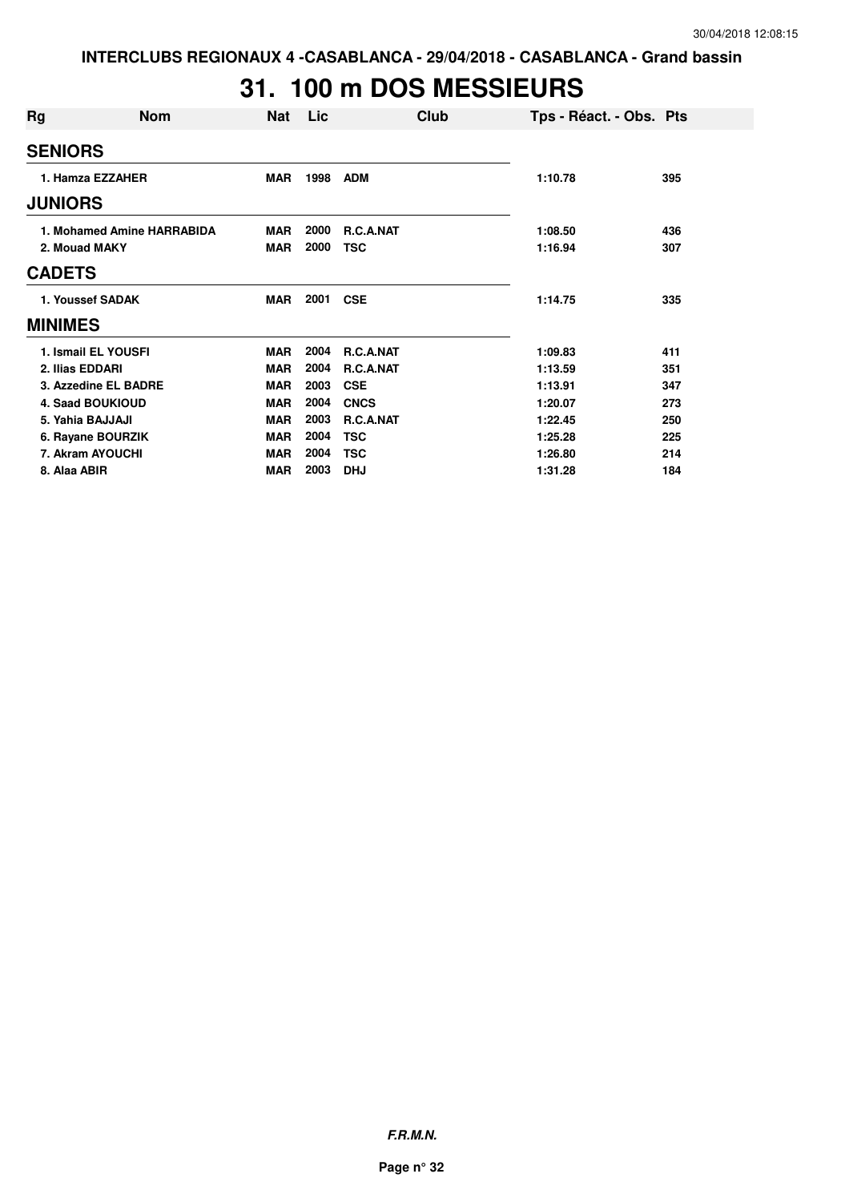# **31. 100 m DOS MESSIEURS**

| Rg              | <b>Nom</b>                 | Nat        | Lic  | Club             | Tps - Réact. - Obs. Pts |     |
|-----------------|----------------------------|------------|------|------------------|-------------------------|-----|
| <b>SENIORS</b>  |                            |            |      |                  |                         |     |
|                 | 1. Hamza EZZAHER           | <b>MAR</b> | 1998 | <b>ADM</b>       | 1:10.78                 | 395 |
| <b>JUNIORS</b>  |                            |            |      |                  |                         |     |
|                 | 1. Mohamed Amine HARRABIDA | <b>MAR</b> | 2000 | <b>R.C.A.NAT</b> | 1:08.50                 | 436 |
|                 | 2. Mouad MAKY              | <b>MAR</b> | 2000 | <b>TSC</b>       | 1:16.94                 | 307 |
| <b>CADETS</b>   |                            |            |      |                  |                         |     |
|                 | 1. Youssef SADAK           | <b>MAR</b> | 2001 | <b>CSE</b>       | 1:14.75                 | 335 |
| <b>MINIMES</b>  |                            |            |      |                  |                         |     |
|                 | 1. Ismail EL YOUSFI        | <b>MAR</b> | 2004 | R.C.A.NAT        | 1:09.83                 | 411 |
| 2. Ilias EDDARI |                            | <b>MAR</b> | 2004 | R.C.A.NAT        | 1:13.59                 | 351 |
|                 | 3. Azzedine EL BADRE       | <b>MAR</b> | 2003 | <b>CSE</b>       | 1:13.91                 | 347 |
|                 | <b>4. Saad BOUKIOUD</b>    | <b>MAR</b> | 2004 | <b>CNCS</b>      | 1:20.07                 | 273 |
|                 | 5. Yahia BAJJAJI           | <b>MAR</b> | 2003 | R.C.A.NAT        | 1:22.45                 | 250 |
|                 | 6. Rayane BOURZIK          | <b>MAR</b> | 2004 | <b>TSC</b>       | 1:25.28                 | 225 |
|                 | 7. Akram AYOUCHI           | <b>MAR</b> | 2004 | <b>TSC</b>       | 1:26.80                 | 214 |
| 8. Alaa ABIR    |                            | <b>MAR</b> | 2003 | <b>DHJ</b>       | 1:31.28                 | 184 |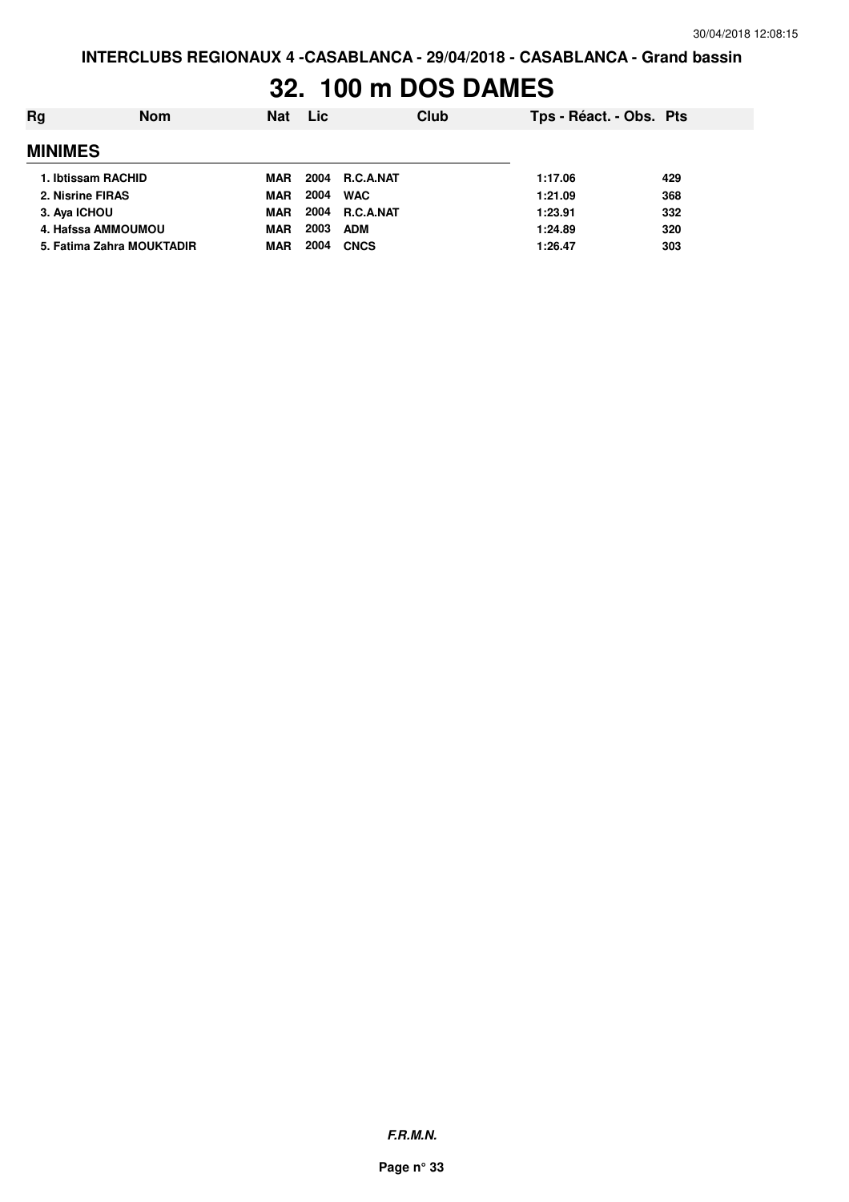### **32. 100 m DOS DAMES**

| Rg | <b>Nom</b>                | <b>Nat</b> | <b>Lic</b> | Club             | Tps - Réact. - Obs. Pts |     |
|----|---------------------------|------------|------------|------------------|-------------------------|-----|
|    | <b>MINIMES</b>            |            |            |                  |                         |     |
|    | 1. Ibtissam RACHID        | MAR        |            | 2004 R.C.A.NAT   | 1:17.06                 | 429 |
|    | 2. Nisrine FIRAS          | <b>MAR</b> | 2004       | <b>WAC</b>       | 1:21.09                 | 368 |
|    | 3. Aya ICHOU              | <b>MAR</b> | 2004       | <b>R.C.A.NAT</b> | 1:23.91                 | 332 |
|    | 4. Hafssa AMMOUMOU        | <b>MAR</b> | 2003       | <b>ADM</b>       | 1:24.89                 | 320 |
|    | 5. Fatima Zahra MOUKTADIR | MAR        | 2004       | <b>CNCS</b>      | 1:26.47                 | 303 |
|    |                           |            |            |                  |                         |     |

**F.R.M.N.**

**Page n° 33**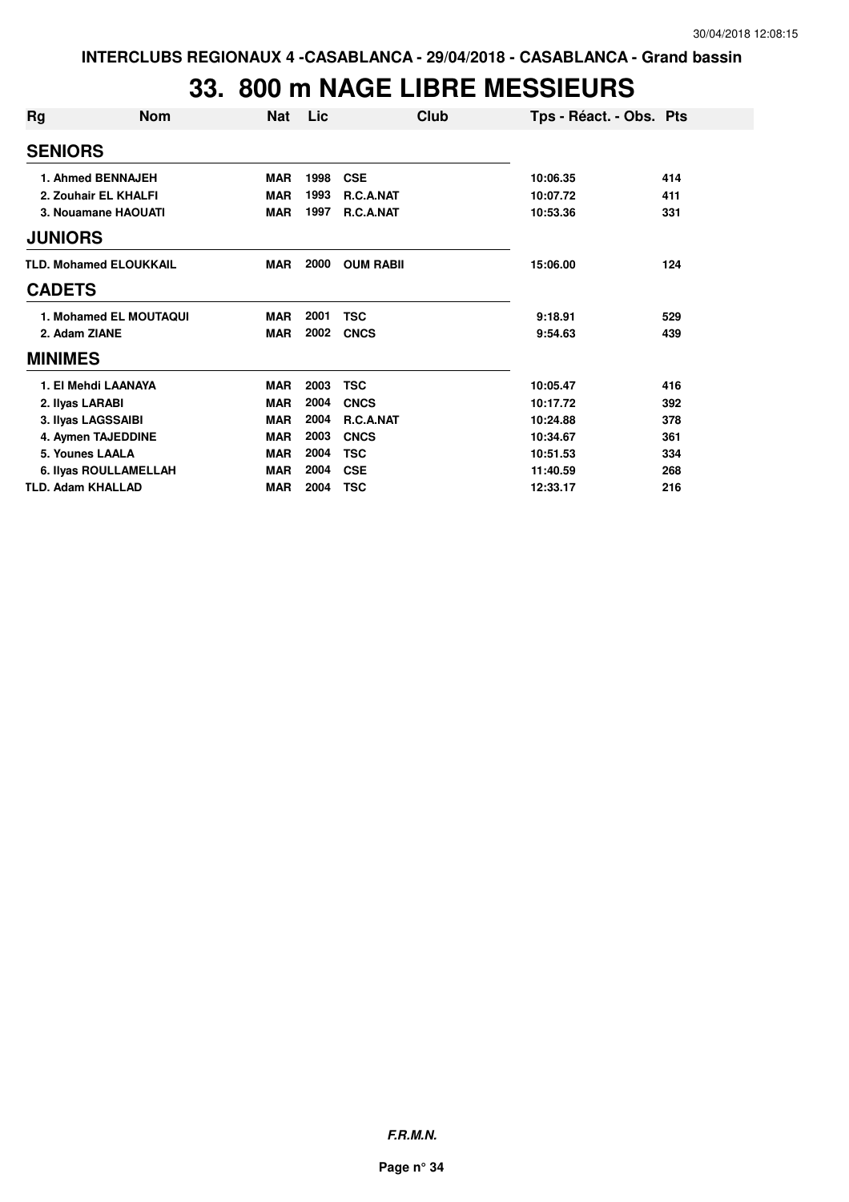### **33. 800 m NAGE LIBRE MESSIEURS**

| Rg              | <b>Nom</b>                    | <b>Nat</b> | Lic  | Club             | Tps - Réact. - Obs. Pts |     |
|-----------------|-------------------------------|------------|------|------------------|-------------------------|-----|
| <b>SENIORS</b>  |                               |            |      |                  |                         |     |
|                 | 1. Ahmed BENNAJEH             | <b>MAR</b> | 1998 | <b>CSE</b>       | 10:06.35                | 414 |
|                 | 2. Zouhair EL KHALFI          | <b>MAR</b> | 1993 | R.C.A.NAT        | 10:07.72                | 411 |
|                 | 3. Nouamane HAOUATI           | <b>MAR</b> | 1997 | R.C.A.NAT        | 10:53.36                | 331 |
| <b>JUNIORS</b>  |                               |            |      |                  |                         |     |
|                 | <b>TLD. Mohamed ELOUKKAIL</b> | <b>MAR</b> | 2000 | <b>OUM RABII</b> | 15:06.00                | 124 |
| <b>CADETS</b>   |                               |            |      |                  |                         |     |
|                 | 1. Mohamed EL MOUTAQUI        | <b>MAR</b> | 2001 | <b>TSC</b>       | 9:18.91                 | 529 |
| 2. Adam ZIANE   |                               | <b>MAR</b> | 2002 | <b>CNCS</b>      | 9:54.63                 | 439 |
| <b>MINIMES</b>  |                               |            |      |                  |                         |     |
|                 | 1. El Mehdi LAANAYA           | <b>MAR</b> | 2003 | <b>TSC</b>       | 10:05.47                | 416 |
| 2. Ilyas LARABI |                               | <b>MAR</b> | 2004 | <b>CNCS</b>      | 10:17.72                | 392 |
|                 | 3. Ilyas LAGSSAIBI            | <b>MAR</b> | 2004 | R.C.A.NAT        | 10:24.88                | 378 |
|                 | 4. Aymen TAJEDDINE            | <b>MAR</b> | 2003 | <b>CNCS</b>      | 10:34.67                | 361 |
|                 | 5. Younes LAALA               | <b>MAR</b> | 2004 | <b>TSC</b>       | 10:51.53                | 334 |
|                 | 6. Ilyas ROULLAMELLAH         | <b>MAR</b> | 2004 | <b>CSE</b>       | 11:40.59                | 268 |
|                 | <b>TLD. Adam KHALLAD</b>      | <b>MAR</b> | 2004 | <b>TSC</b>       | 12:33.17                | 216 |